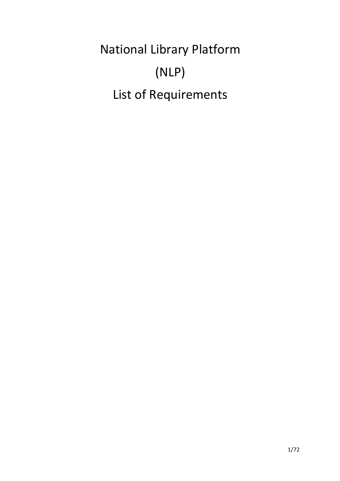# **National Library Platform** (NLP) List of Requirements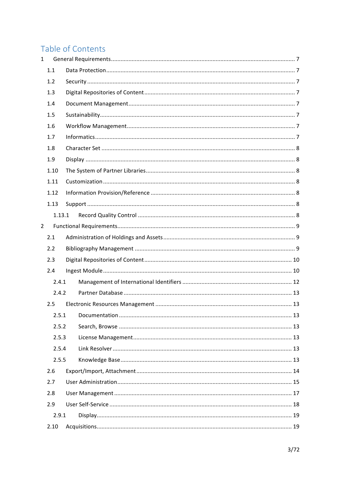# Table of Contents

| $\mathbf{1}$   |        |  |  |  |
|----------------|--------|--|--|--|
|                | 1.1    |  |  |  |
|                | 1.2    |  |  |  |
|                | 1.3    |  |  |  |
|                | 1.4    |  |  |  |
|                | 1.5    |  |  |  |
|                | 1.6    |  |  |  |
|                | 1.7    |  |  |  |
|                | 1.8    |  |  |  |
|                | 1.9    |  |  |  |
|                | 1.10   |  |  |  |
|                | 1.11   |  |  |  |
|                | 1.12   |  |  |  |
|                | 1.13   |  |  |  |
|                | 1.13.1 |  |  |  |
| $\overline{2}$ |        |  |  |  |
|                | 2.1    |  |  |  |
|                | 2.2    |  |  |  |
|                | 2.3    |  |  |  |
|                | 2.4    |  |  |  |
|                | 2.4.1  |  |  |  |
|                | 2.4.2  |  |  |  |
|                | 2.5    |  |  |  |
|                | 2.5.1  |  |  |  |
|                | 2.5.2  |  |  |  |
|                | 2.5.3  |  |  |  |
|                | 2.5.4  |  |  |  |
|                | 2.5.5  |  |  |  |
|                | 2.6    |  |  |  |
|                | 2.7    |  |  |  |
|                | 2.8    |  |  |  |
| 2.9            |        |  |  |  |
|                | 2.9.1  |  |  |  |
|                | 2.10   |  |  |  |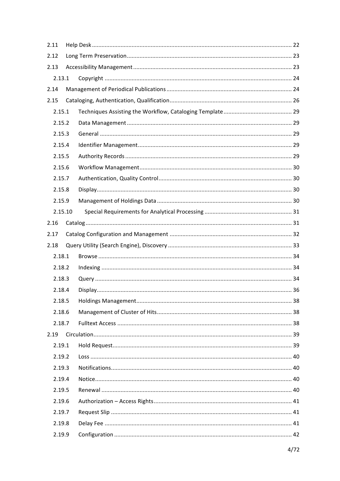| 2.11    |  |  |  |  |  |
|---------|--|--|--|--|--|
| 2.12    |  |  |  |  |  |
| 2.13    |  |  |  |  |  |
| 2.13.1  |  |  |  |  |  |
| 2.14    |  |  |  |  |  |
| 2.15    |  |  |  |  |  |
| 2.15.1  |  |  |  |  |  |
| 2.15.2  |  |  |  |  |  |
| 2.15.3  |  |  |  |  |  |
| 2.15.4  |  |  |  |  |  |
| 2.15.5  |  |  |  |  |  |
| 2.15.6  |  |  |  |  |  |
| 2.15.7  |  |  |  |  |  |
| 2.15.8  |  |  |  |  |  |
| 2.15.9  |  |  |  |  |  |
| 2.15.10 |  |  |  |  |  |
| 2.16    |  |  |  |  |  |
| 2.17    |  |  |  |  |  |
|         |  |  |  |  |  |
| 2.18    |  |  |  |  |  |
| 2.18.1  |  |  |  |  |  |
| 2.18.2  |  |  |  |  |  |
| 2.18.3  |  |  |  |  |  |
| 2.18.4  |  |  |  |  |  |
| 2.18.5  |  |  |  |  |  |
| 2.18.6  |  |  |  |  |  |
| 2.18.7  |  |  |  |  |  |
| 2.19    |  |  |  |  |  |
| 2.19.1  |  |  |  |  |  |
| 2.19.2  |  |  |  |  |  |
| 2.19.3  |  |  |  |  |  |
| 2.19.4  |  |  |  |  |  |
| 2.19.5  |  |  |  |  |  |
| 2.19.6  |  |  |  |  |  |
| 2.19.7  |  |  |  |  |  |
| 2.19.8  |  |  |  |  |  |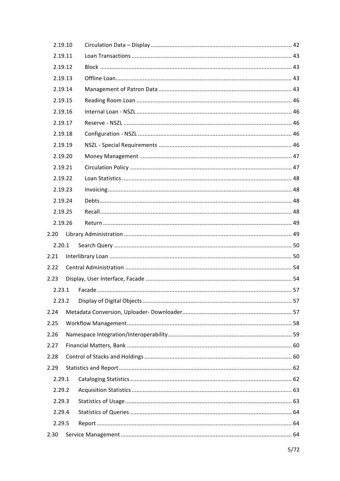|        | 2.19.10 |  |
|--------|---------|--|
|        | 2.19.11 |  |
|        | 2.19.12 |  |
|        | 2.19.13 |  |
|        | 2.19.14 |  |
|        | 2.19.15 |  |
|        | 2.19.16 |  |
|        | 2.19.17 |  |
|        | 2.19.18 |  |
|        | 2.19.19 |  |
|        | 2.19.20 |  |
|        | 2.19.21 |  |
|        | 2.19.22 |  |
|        | 2.19.23 |  |
|        | 2.19.24 |  |
|        | 2.19.25 |  |
|        | 2.19.26 |  |
| 2.20   |         |  |
|        | 2.20.1  |  |
| 2.21   |         |  |
| 2.22   |         |  |
| 2.23   |         |  |
| 2.23.1 |         |  |
| 2.23.2 |         |  |
| 2.24   |         |  |
| 2.25   |         |  |
| 2.26   |         |  |
| 2.27   |         |  |
| 2.28   |         |  |
| 2.29   |         |  |
| 2.29.1 |         |  |
| 2.29.2 |         |  |
| 2.29.3 |         |  |
| 2.29.4 |         |  |
| 2.29.5 |         |  |
| 2.30   |         |  |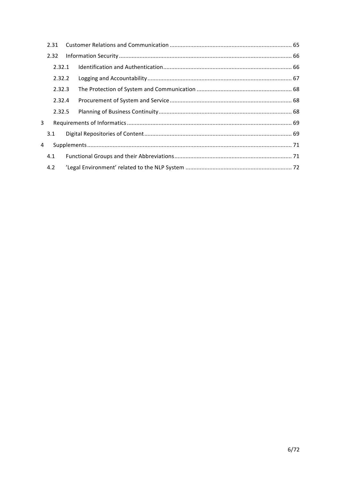|   | 2.31   |  |  |  |
|---|--------|--|--|--|
|   | 2.32   |  |  |  |
|   | 2.32.1 |  |  |  |
|   | 2.32.2 |  |  |  |
|   | 2.32.3 |  |  |  |
|   | 2.32.4 |  |  |  |
|   | 2.32.5 |  |  |  |
| 3 |        |  |  |  |
|   | 3.1    |  |  |  |
| 4 |        |  |  |  |
|   | 4.1    |  |  |  |
|   | 4.2    |  |  |  |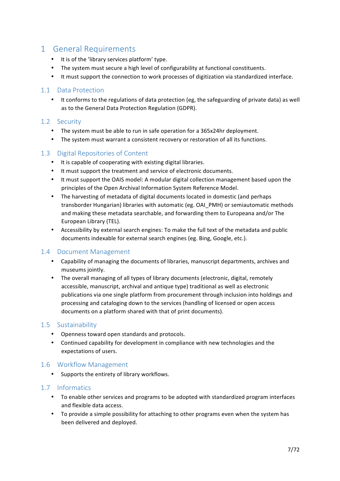# 1 General Requirements

- It is of the 'library services platform' type.
- The system must secure a high level of configurability at functional constituents.
- It must support the connection to work processes of digitization via standardized interface.

#### 1.1 Data Protection

• It conforms to the regulations of data protection (eg, the safeguarding of private data) as well as to the General Data Protection Regulation (GDPR).

#### 1.2 Security

- The system must be able to run in safe operation for a 365x24hr deployment.
- The system must warrant a consistent recovery or restoration of all its functions.

#### 1.3 Digital Repositories of Content

- It is capable of cooperating with existing digital libraries.
- It must support the treatment and service of electronic documents.
- It must support the OAIS model: A modular digital collection management based upon the principles of the Open Archival Information System Reference Model.
- The harvesting of metadata of digital documents located in domestic (and perhaps transborder Hungarian) libraries with automatic (eg. OAI\_PMH) or semiautomatic methods and making these metadata searchable, and forwarding them to Europeana and/or The European Library (TEL).
- Accessibility by external search engines: To make the full text of the metadata and public documents indexable for external search engines (eg. Bing, Google, etc.).

#### 1.4 Document Management

- Capability of managing the documents of libraries, manuscript departments, archives and museums jointly.
- The overall managing of all types of library documents (electronic, digital, remotely accessible, manuscript, archival and antique type) traditional as well as electronic publications via one single platform from procurement through inclusion into holdings and processing and cataloging down to the services (handling of licensed or open access documents on a platform shared with that of print documents).

#### 1.5 Sustainability

- Openness toward open standards and protocols.
- Continued capability for development in compliance with new technologies and the expectations of users.

#### 1.6 Workflow Management

• Supports the entirety of library workflows.

#### 1.7 Informatics

- To enable other services and programs to be adopted with standardized program interfaces and flexible data access.
- To provide a simple possibility for attaching to other programs even when the system has been delivered and deployed.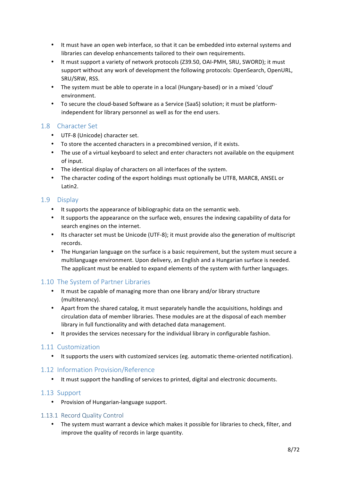- It must have an open web interface, so that it can be embedded into external systems and libraries can develop enhancements tailored to their own requirements.
- It must support a variety of network protocols (Z39.50, OAI-PMH, SRU, SWORD); it must support without any work of development the following protocols: OpenSearch, OpenURL, SRU/SRW, RSS.
- The system must be able to operate in a local (Hungary-based) or in a mixed 'cloud' environment.
- To secure the cloud-based Software as a Service (SaaS) solution; it must be platformindependent for library personnel as well as for the end users.

# 1.8 Character Set

- UTF-8 (Unicode) character set.
- To store the accented characters in a precombined version, if it exists.
- The use of a virtual keyboard to select and enter characters not available on the equipment of input.
- The identical display of characters on all interfaces of the system.
- The character coding of the export holdings must optionally be UTF8, MARC8, ANSEL or Latin2.

# 1.9 Display

- It supports the appearance of bibliographic data on the semantic web.
- It supports the appearance on the surface web, ensures the indexing capability of data for search engines on the internet.
- Its character set must be Unicode (UTF-8); it must provide also the generation of multiscript records.
- The Hungarian language on the surface is a basic requirement, but the system must secure a multilanguage environment. Upon delivery, an English and a Hungarian surface is needed. The applicant must be enabled to expand elements of the system with further languages.

# 1.10 The System of Partner Libraries

- It must be capable of managing more than one library and/or library structure (multitenancy).
- Apart from the shared catalog, it must separately handle the acquisitions, holdings and circulation data of member libraries. These modules are at the disposal of each member library in full functionality and with detached data management.
- It provides the services necessary for the individual library in configurable fashion.

#### 1.11 Customization

• It supports the users with customized services (eg. automatic theme-oriented notification).

#### 1.12 Information Provision/Reference

• It must support the handling of services to printed, digital and electronic documents.

#### 1.13 Support

• Provision of Hungarian-language support.

#### 1.13.1 Record Quality Control

• The system must warrant a device which makes it possible for libraries to check, filter, and improve the quality of records in large quantity.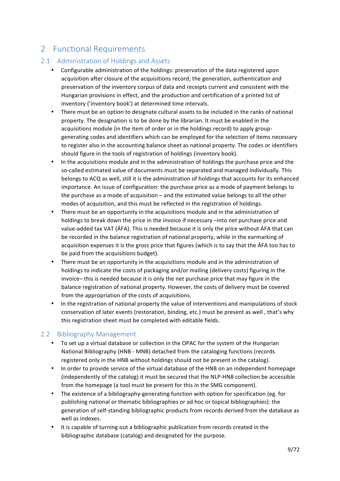# 2 Functional Requirements

### 2.1 Administration of Holdings and Assets

- Configurable administration of the holdings: preservation of the data registered upon acquisition after closure of the acquisitions record; the generation, authentication and preservation of the inventory corpus of data and receipts current and consistent with the Hungarian provisions in effect, and the production and certification of a printed list of inventory ('inventory book') at determined time intervals.
- There must be an option to designate cultural assets to be included in the ranks of national property. The designation is to be done by the librarian. It must be enabled in the acquisitions module (in the item of order or in the holdings record) to apply groupgenerating codes and identifiers which can be employed for the selection of items necessary to register also in the accounting balance sheet as national property. The codes or identifiers should figure in the tools of registration of holdings (inventory book).
- In the acquisitions module and in the administration of holdings the purchase price and the so-called estimated value of documents must be separated and managed individually. This belongs to ACQ as well, still it is the administration of holdings that accounts for its enhanced importance. An issue of configuration: the purchase price as a mode of payment belongs to the purchase as a mode of acquisition  $-$  and the estimated value belongs to all the other modes of acquisition, and this must be reflected in the registration of holdings.
- There must be an opportunity in the acquisitions module and in the administration of holdings to break down the price in the invoice if necessary -into net purchase price and value-added tax VAT (AFA). This is needed because it is only the price without AFA that can be recorded in the balance registration of national property, while in the earmarking of acquisition expenses it is the gross price that figures (which is to say that the AFA too has to be paid from the acquisitions budget).
- There must be an opportunity in the acquisitions module and in the administration of holdings to indicate the costs of packaging and/or mailing (delivery costs) figuring in the invoice– this is needed because it is only the net purchase price that may figure in the balance registration of national property. However, the costs of delivery must be covered from the appropriation of the costs of acquisitions.
- In the registration of national property the value of interventions and manipulations of stock conservation of later events (restoration, binding, etc.) must be present as well, that's why this registration sheet must be completed with editable fields.

# 2.2 Bibliography Management

- To set up a virtual database or collection in the OPAC for the system of the Hungarian National Bibliography (HNB - MNB) detached from the cataloging functions (records registered only in the HNB without holdings should not be present in the catalog).
- In order to provide service of the virtual database of the HNB on an independent homepage (independently of the catalog) it must be secured that the NLP-HNB collection be accessible from the homepage (a tool must be present for this in the SMG component).
- The existence of a bibliography-generating function with option for specification (eg. for publishing national or thematic bibliographies or ad hoc or topical bibliographies): the generation of self-standing bibliographic products from records derived from the database as well as indexes.
- It is capable of turning out a bibliographic publication from records created in the bibliographic database (catalog) and designated for the purpose.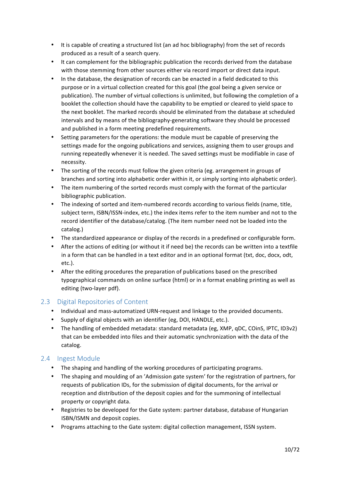- It is capable of creating a structured list (an ad hoc bibliography) from the set of records produced as a result of a search query.
- It can complement for the bibliographic publication the records derived from the database with those stemming from other sources either via record import or direct data input.
- In the database, the designation of records can be enacted in a field dedicated to this purpose or in a virtual collection created for this goal (the goal being a given service or publication). The number of virtual collections is unlimited, but following the completion of a booklet the collection should have the capability to be emptied or cleared to yield space to the next booklet. The marked records should be eliminated from the database at scheduled intervals and by means of the bibliography-generating software they should be processed and published in a form meeting predefined requirements.
- Setting parameters for the operations: the module must be capable of preserving the settings made for the ongoing publications and services, assigning them to user groups and running repeatedly whenever it is needed. The saved settings must be modifiable in case of necessity.
- The sorting of the records must follow the given criteria (eg. arrangement in groups of branches and sorting into alphabetic order within it, or simply sorting into alphabetic order).
- The item numbering of the sorted records must comply with the format of the particular bibliographic publication.
- The indexing of sorted and item-numbered records according to various fields (name, title, subject term, ISBN/ISSN-index, etc.) the index items refer to the item number and not to the record identifier of the database/catalog. (The item number need not be loaded into the catalog.)
- The standardized appearance or display of the records in a predefined or configurable form.
- After the actions of editing (or without it if need be) the records can be written into a textfile in a form that can be handled in a text editor and in an optional format (txt, doc, docx, odt, etc.).
- After the editing procedures the preparation of publications based on the prescribed typographical commands on online surface (html) or in a format enabling printing as well as editing (two-layer pdf).

# 2.3 Digital Repositories of Content

- Individual and mass-automatized URN-request and linkage to the provided documents.
- Supply of digital objects with an identifier (eg, DOI, HANDLE, etc.).
- The handling of embedded metadata: standard metadata (eg, XMP, qDC, COinS, IPTC, ID3v2) that can be embedded into files and their automatic synchronization with the data of the catalog.

# 2.4 Ingest Module

- The shaping and handling of the working procedures of participating programs.
- The shaping and moulding of an 'Admission gate system' for the registration of partners, for requests of publication IDs, for the submission of digital documents, for the arrival or reception and distribution of the deposit copies and for the summoning of intellectual property or copyright data.
- Registries to be developed for the Gate system: partner database, database of Hungarian ISBN/ISMN and deposit copies.
- Programs attaching to the Gate system: digital collection management, ISSN system.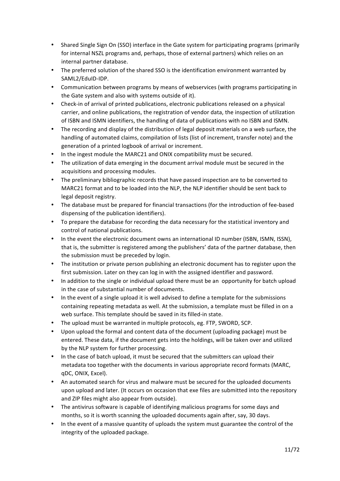- Shared Single Sign On (SSO) interface in the Gate system for participating programs (primarily for internal NSZL programs and, perhaps, those of external partners) which relies on an internal partner database.
- The preferred solution of the shared SSO is the identification environment warranted by SAML2/EduID-IDP.
- Communication between programs by means of webservices (with programs participating in the Gate system and also with systems outside of it).
- Check-in of arrival of printed publications, electronic publications released on a physical carrier, and online publications, the registration of vendor data, the inspection of utilization of ISBN and ISMN identifiers, the handling of data of publications with no ISBN and ISMN.
- The recording and display of the distribution of legal deposit materials on a web surface, the handling of automated claims, compilation of lists (list of increment, transfer note) and the generation of a printed logbook of arrival or increment.
- In the ingest module the MARC21 and ONIX compatibility must be secured.
- The utilization of data emerging in the document arrival module must be secured in the acquisitions and processing modules.
- The preliminary bibliographic records that have passed inspection are to be converted to MARC21 format and to be loaded into the NLP, the NLP identifier should be sent back to legal deposit registry.
- The database must be prepared for financial transactions (for the introduction of fee-based dispensing of the publication identifiers).
- To prepare the database for recording the data necessary for the statistical inventory and control of national publications.
- In the event the electronic document owns an international ID number (ISBN, ISMN, ISSN). that is, the submitter is registered among the publishers' data of the partner database, then the submission must be preceded by login.
- The institution or private person publishing an electronic document has to register upon the first submission. Later on they can log in with the assigned identifier and password.
- In addition to the single or individual upload there must be an opportunity for batch upload in the case of substantial number of documents.
- In the event of a single upload it is well advised to define a template for the submissions containing repeating metadata as well. At the submission, a template must be filled in on a web surface. This template should be saved in its filled-in state.
- The upload must be warranted in multiple protocols, eg. FTP, SWORD, SCP.
- Upon upload the formal and content data of the document (uploading package) must be entered. These data, if the document gets into the holdings, will be taken over and utilized by the NLP system for further processing.
- In the case of batch upload, it must be secured that the submitters can upload their metadata too together with the documents in various appropriate record formats (MARC, qDC, ONIX, Excel).
- An automated search for virus and malware must be secured for the uploaded documents upon upload and later. (It occurs on occasion that exe files are submitted into the repository and ZIP files might also appear from outside).
- The antivirus software is capable of identifying malicious programs for some days and months, so it is worth scanning the uploaded documents again after, say, 30 days.
- In the event of a massive quantity of uploads the system must guarantee the control of the integrity of the uploaded package.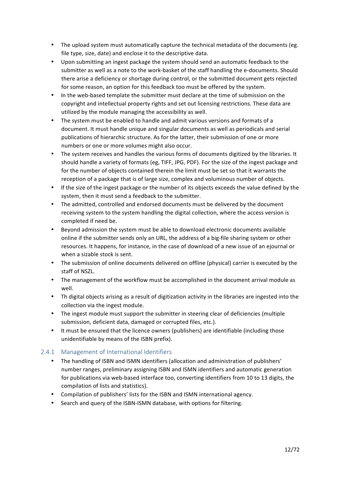- The upload system must automatically capture the technical metadata of the documents (eg. file type, size, date) and enclose it to the descriptive data.
- Upon submitting an ingest package the system should send an automatic feedback to the submitter as well as a note to the work-basket of the staff handling the e-documents. Should there arise a deficiency or shortage during control, or the submitted document gets rejected for some reason, an option for this feedback too must be offered by the system.
- In the web-based template the submitter must declare at the time of submission on the copyright and intellectual property rights and set out licensing restrictions. These data are utilized by the module managing the accessibility as well.
- The system must be enabled to handle and admit various versions and formats of a document. It must handle unique and singular documents as well as periodicals and serial publications of hierarchic structure. As for the latter, their submission of one or more numbers or one or more volumes might also occur.
- The system receives and handles the various forms of documents digitized by the libraries. It should handle a variety of formats (eg, TIFF, JPG, PDF). For the size of the ingest package and for the number of objects contained therein the limit must be set so that it warrants the reception of a package that is of large size, complex and voluminous number of objects.
- If the size of the ingest package or the number of its objects exceeds the value defined by the system, then it must send a feedback to the submitter.
- The admitted, controlled and endorsed documents must be delivered by the document receiving system to the system handling the digital collection, where the access version is completed if need be.
- Beyond admission the system must be able to download electronic documents available online if the submitter sends only an URL, the address of a big-file sharing system or other resources. It happens, for instance, in the case of download of a new issue of an ejournal or when a sizable stock is sent.
- The submission of online documents delivered on offline (physical) carrier is executed by the staff of NSZL.
- The management of the workflow must be accomplished in the document arrival module as well.
- Th digital objects arising as a result of digitization activity in the libraries are ingested into the collection via the ingest module.
- The ingest module must support the submitter in steering clear of deficiencies (multiple submission, deficient data, damaged or corrupted files, etc.).
- It must be ensured that the licence owners (publishers) are identifiable (including those unidentifiable by means of the ISBN prefix).

#### 2.4.1 Management of International Identifiers

- The handling of ISBN and ISMN identifiers (allocation and administration of publishers' number ranges, preliminary assigning ISBN and ISMN identifiers and automatic generation for publications via web-based interface too, converting identifiers from 10 to 13 digits, the compilation of lists and statistics).
- Compilation of publishers' lists for the ISBN and ISMN international agency.
- Search and query of the ISBN-ISMN database, with options for filtering.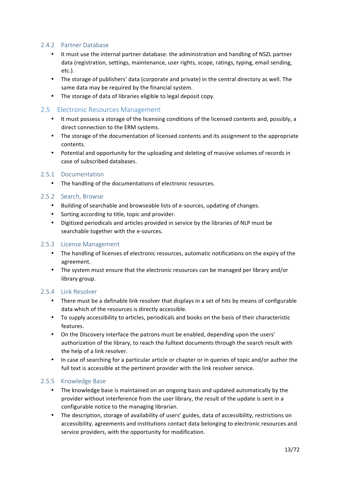#### 2.4.2 Partner Database

- It must use the internal partner database: the administration and handling of NSZL partner data (registration, settings, maintenance, user rights, scope, ratings, typing, email sending, etc.).
- The storage of publishers' data (corporate and private) in the central directory as well. The same data may be required by the financial system.
- The storage of data of libraries eligible to legal deposit copy.

#### 2.5 Electronic Resources Management

- It must possess a storage of the licensing conditions of the licensed contents and, possibly, a direct connection to the ERM systems.
- The storage of the documentation of licensed contents and its assignment to the appropriate contents.
- Potential and opportunity for the uploading and deleting of massive volumes of records in case of subscribed databases.

#### 2.5.1 Documentation

• The handling of the documentations of electronic resources.

#### 2.5.2 Search, Browse

- Building of searchable and browseable lists of e-sources, updating of changes.
- Sorting according to title, topic and provider.
- Digitized periodicals and articles provided in service by the libraries of NLP must be searchable together with the e-sources.

#### 2.5.3 License Management

- The handling of licenses of electronic resources, automatic notifications on the expiry of the agreement.
- The system must ensure that the electronic resources can be managed per library and/or library group.

#### 2.5.4 Link Resolver

- There must be a definable link resolver that displays in a set of hits by means of configurable data which of the resources is directly accessible.
- To supply accessibility to articles, periodicals and books on the basis of their characteristic features.
- On the Discovery interface the patrons must be enabled, depending upon the users' authorization of the library, to reach the fulltext documents through the search result with the help of a link resolver.
- In case of searching for a particular article or chapter or in queries of topic and/or author the full text is accessible at the pertinent provider with the link resolver service.

#### 2.5.5 Knowledge Base

- The knowledge base is maintained on an ongoing basis and updated automatically by the provider without interference from the user library, the result of the update is sent in a configurable notice to the managing librarian.
- The description, storage of availability of users' guides, data of accessibility, restrictions on accessibility, agreements and institutions contact data belonging to electronic resources and service providers, with the opportunity for modification.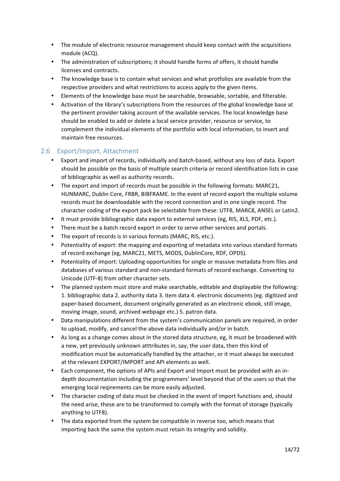- The module of electronic resource management should keep contact with the acquisitions module (ACQ).
- The administration of subscriptions; it should handle forms of offers, it should handle licenses and contracts.
- The knowledge base is to contain what services and what protfolios are available from the respective providers and what restrictions to access apply to the given items.
- Elements of the knowledge base must be searchable, browsable, sortable, and filterable.
- Activation of the library's subscriptions from the resources of the global knowledge base at the pertinent provider taking account of the available services. The local knowledge base should be enabled to add or delete a local service provider, resource or service, to complement the individual elements of the portfolio with local information, to insert and maintain free resources.

#### 2.6 Export/Import, Attachment

- Export and import of records, individually and batch-based, without any loss of data. Export should be possible on the basis of multiple search criteria or record identification lists in case of bibliographic as well as authority records.
- The export and import of records must be possible in the following formats: MARC21, HUNMARC, Dublin Core, FRBR, BIBFRAME. In the event of record export the multiple volume records must be downloadable with the record connection and in one single record. The character coding of the export pack be selectable from these: UTF8, MARC8, ANSEL or Latin2.
- It must provide bibliographic data export to external services (eg, RIS, XLS, PDF, etc.).
- There must be a batch record export in order to serve other services and portals.
- The export of records is in various formats (MARC, RIS, etc.).
- Potentiality of export: the mapping and exporting of metadata into various standard formats of record exchange (eg, MARC21, METS, MODS, DublinCore, RDF, OPDS).
- Potentiality of import: Uploading opportunities for single or massive metadata from files and databases of various standard and non-standard formats of record exchange. Converting to Unicode (UTF-8) from other character sets.
- The planned system must store and make searchable, editable and displayable the following: 1. bibliographic data 2. authority data 3. item data 4. electronic documents (eg. digitized and paper-based document, document originally generated as an electronic ebook, still image, moving image, sound, archived webpage etc.) 5. patron data.
- Data manipulations different from the system's communication panels are required, in order to upload, modify, and cancel the above data individually and/or in batch.
- As long as a change comes about in the stored data structure, eg, it must be broadened with a new, yet previously unknown atttributes in, say, the user data, then this kind of modification must be automatically handled by the attacher, or it must always be executed at the relevant EXPORT/IMPORT and API elements as well.
- Each component, the options of APIs and Export and Import must be provided with an indepth documentation including the programmers' level beyond that of the users so that the emerging local reqirements can be more easily adjusted.
- The character coding of data must be checked in the event of import functions and, should the need arise, these are to be transformed to comply with the format of storage (typically anything to UTF8).
- The data exported from the system be compatible in reverse too, which means that importing back the same the system must retain its integrity and solidity.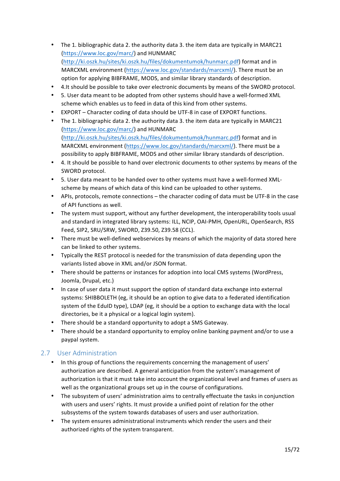- The 1. bibliographic data 2. the authority data 3. the item data are typically in MARC21 (https://www.loc.gov/marc/) and HUNMARC (http://ki.oszk.hu/sites/ki.oszk.hu/files/dokumentumok/hunmarc.pdf) format and in MARCXML environment (https://www.loc.gov/standards/marcxml/). There must be an option for applying BIBFRAME, MODS, and similar library standards of description.
- 4. It should be possible to take over electronic documents by means of the SWORD protocol.
- 5. User data meant to be adopted from other systems should have a well-formed XML scheme which enables us to feed in data of this kind from other systems.
- EXPORT Character coding of data should be UTF-8 in case of EXPORT functions.
- The 1. bibliographic data 2. the authority data 3. the item data are typically in MARC21 (https://www.loc.gov/marc/) and HUNMARC (http://ki.oszk.hu/sites/ki.oszk.hu/files/dokumentumok/hunmarc.pdf) format and in MARCXML environment (https://www.loc.gov/standards/marcxml/). There must be a possibility to apply BIBFRAME, MODS and other similar library standards of description.
- 4. It should be possible to hand over electronic documents to other systems by means of the SWORD protocol.
- 5. User data meant to be handed over to other systems must have a well-formed XMLscheme by means of which data of this kind can be uploaded to other systems.
- APIs, protocols, remote connections the character coding of data must be UTF-8 in the case of API functions as well.
- The system must support, without any further development, the interoperability tools usual and standard in integrated library systems: ILL, NCIP, OAI-PMH, OpenURL, OpenSearch, RSS Feed, SIP2, SRU/SRW, SWORD, Z39.50, Z39.58 (CCL).
- There must be well-defined webservices by means of which the majority of data stored here can be linked to other systems.
- Typically the REST protocol is needed for the transmission of data depending upon the variants listed above in XML and/or JSON format.
- There should be patterns or instances for adoption into local CMS systems (WordPress, Joomla, Drupal, etc.)
- In case of user data it must support the option of standard data exchange into external systems: SHIBBOLETH (eg, it should be an option to give data to a federated identification system of the EduID type), LDAP (eg, it should be a option to exchange data with the local directories, be it a physical or a logical login system).
- There should be a standard opportunity to adopt a SMS Gateway.
- There should be a standard opportunity to employ online banking payment and/or to use a paypal system.

#### 2.7 User Administration

- In this group of functions the requirements concerning the management of users' authorization are described. A general anticipation from the system's management of authorization is that it must take into account the organizational level and frames of users as well as the organizational groups set up in the course of configurations.
- The subsystem of users' administration aims to centrally effectuate the tasks in conjunction with users and users' rights. It must provide a unified point of relation for the other subsystems of the system towards databases of users and user authorization.
- The system ensures administrational instruments which render the users and their authorized rights of the system transparent.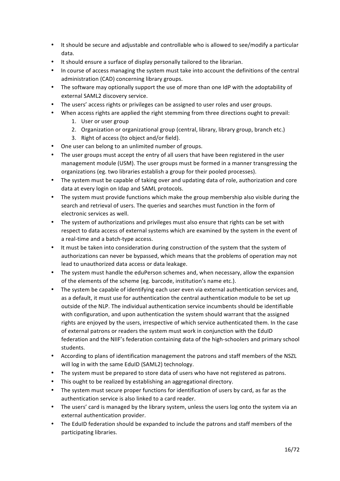- It should be secure and adjustable and controllable who is allowed to see/modify a particular data.
- It should ensure a surface of display personally tailored to the librarian.
- In course of access managing the system must take into account the definitions of the central administration (CAD) concerning library groups.
- The software may optionally support the use of more than one IdP with the adoptability of external SAML2 discovery service.
- The users' access rights or privileges can be assigned to user roles and user groups.
- When access rights are applied the right stemming from three directions ought to prevail:
	- 1. User or user group
	- 2. Organization or organizational group (central, library, library group, branch etc.)
	- 3. Right of access (to object and/or field).
- One user can belong to an unlimited number of groups.
- The user groups must accept the entry of all users that have been registered in the user management module (USM). The user groups must be formed in a manner transgressing the organizations (eg. two libraries establish a group for their pooled processes).
- The system must be capable of taking over and updating data of role, authorization and core data at every login on Idap and SAML protocols.
- The system must provide functions which make the group membership also visible during the search and retrieval of users. The queries and searches must function in the form of electronic services as well.
- The system of authorizations and privileges must also ensure that rights can be set with respect to data access of external systems which are examined by the system in the event of a real-time and a batch-type access.
- It must be taken into consideration during construction of the system that the system of authorizations can never be bypassed, which means that the problems of operation may not lead to unauthorized data access or data leakage.
- The system must handle the eduPerson schemes and, when necessary, allow the expansion of the elements of the scheme (eg. barcode, institution's name etc.).
- The system be capable of identifying each user even via external authentication services and, as a default, it must use for authentication the central authentication module to be set up outside of the NLP. The individual authentication service incumbents should be identifiable with configuration, and upon authentication the system should warrant that the assigned rights are enjoyed by the users, irrespective of which service authenticated them. In the case of external patrons or readers the system must work in conjunction with the EduID federation and the NIIF's federation containing data of the high-schoolers and primary school students.
- According to plans of identification management the patrons and staff members of the NSZL will log in with the same EduID (SAML2) technology.
- The system must be prepared to store data of users who have not registered as patrons.
- This ought to be realized by establishing an aggregational directory.
- The system must secure proper functions for identification of users by card, as far as the authentication service is also linked to a card reader.
- The users' card is managed by the library system, unless the users log onto the system via an external authentication provider.
- The EduID federation should be expanded to include the patrons and staff members of the participating libraries.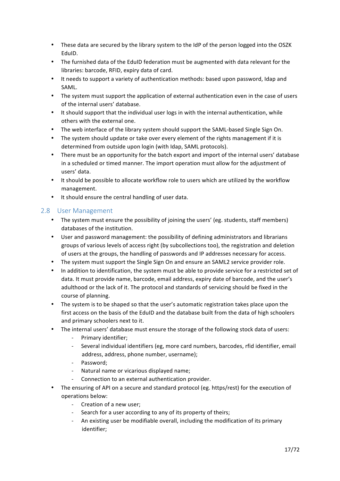- These data are secured by the library system to the IdP of the person logged into the OSZK EduID.
- The furnished data of the EduID federation must be augmented with data relevant for the libraries: barcode, RFID, expiry data of card.
- It needs to support a variety of authentication methods: based upon password, Idap and SAML.
- The system must support the application of external authentication even in the case of users of the internal users' database.
- It should support that the individual user logs in with the internal authentication, while others with the external one.
- The web interface of the library system should support the SAML-based Single Sign On.
- The system should update or take over every element of the rights management if it is determined from outside upon login (with Idap, SAML protocols).
- There must be an opportunity for the batch export and import of the internal users' database in a scheduled or timed manner. The import operation must allow for the adjustment of users' data.
- It should be possible to allocate workflow role to users which are utilized by the workflow management.
- It should ensure the central handling of user data.

#### 2.8 User Management

- The system must ensure the possibility of joining the users' (eg. students, staff members) databases of the institution.
- User and password management: the possibility of defining administrators and librarians groups of various levels of access right (by subcollections too), the registration and deletion of users at the groups, the handling of passwords and IP addresses necessary for access.
- The system must support the Single Sign On and ensure an SAML2 service provider role.
- In addition to identification, the system must be able to provide service for a restricted set of data. It must provide name, barcode, email address, expiry date of barcode, and the user's adulthood or the lack of it. The protocol and standards of servicing should be fixed in the course of planning.
- The system is to be shaped so that the user's automatic registration takes place upon the first access on the basis of the EduID and the database built from the data of high schoolers and primary schoolers next to it.
- The internal users' database must ensure the storage of the following stock data of users:
	- Primary identifier;
	- Several individual identifiers (eg, more card numbers, barcodes, rfid identifier, email address, address, phone number, username);
	- Password;
	- Natural name or vicarious displayed name;
	- Connection to an external authentication provider.
- The ensuring of API on a secure and standard protocol (eg. https/rest) for the execution of operations below:
	- Creation of a new user;
	- Search for a user according to any of its property of theirs;
	- An existing user be modifiable overall, including the modification of its primary identifier;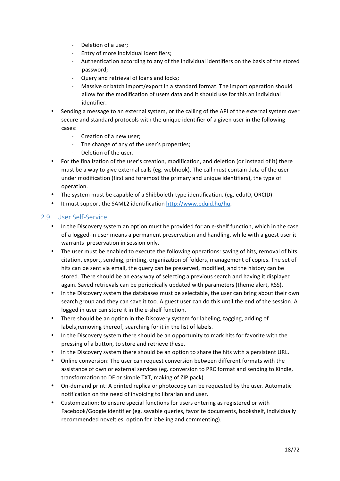- Deletion of a user;
- Entry of more individual identifiers;
- Authentication according to any of the individual identifiers on the basis of the stored password;
- Query and retrieval of loans and locks;
- Massive or batch import/export in a standard format. The import operation should allow for the modification of users data and it should use for this an individual identifier.
- Sending a message to an external system, or the calling of the API of the external system over secure and standard protocols with the unique identifier of a given user in the following cases:
	- Creation of a new user:
	- The change of any of the user's properties;
	- Deletion of the user.
- For the finalization of the user's creation, modification, and deletion (or instead of it) there must be a way to give external calls (eg. webhook). The call must contain data of the user under modification (first and foremost the primary and unique identifiers), the type of operation.
- The system must be capable of a Shibboleth-type identification. (eg, eduID, ORCID).
- It must support the SAML2 identification http://www.eduid.hu/hu.

#### 2.9 User Self-Service

- In the Discovery system an option must be provided for an e-shelf function, which in the case of a logged-in user means a permanent preservation and handling, while with a guest user it warrants preservation in session only.
- The user must be enabled to execute the following operations: saving of hits, removal of hits. citation, export, sending, printing, organization of folders, management of copies. The set of hits can be sent via email, the query can be preserved, modified, and the history can be stored. There should be an easy way of selecting a previous search and having it displayed again. Saved retrievals can be periodically updated with parameters (theme alert, RSS).
- In the Discovery system the databases must be selectable, the user can bring about their own search group and they can save it too. A guest user can do this until the end of the session. A logged in user can store it in the e-shelf function.
- There should be an option in the Discovery system for labeling, tagging, adding of labels, removing thereof, searching for it in the list of labels.
- In the Discovery system there should be an opportunity to mark hits for favorite with the pressing of a button, to store and retrieve these.
- In the Discovery system there should be an option to share the hits with a persistent URL.
- Online conversion: The user can request conversion between different formats with the assistance of own or external services (eg. conversion to PRC format and sending to Kindle, transformation to DF or simple TXT, making of ZIP pack).
- On-demand print: A printed replica or photocopy can be requested by the user. Automatic notification on the need of invoicing to librarian and user.
- Customization: to ensure special functions for users entering as registered or with Facebook/Google identifier (eg. savable queries, favorite documents, bookshelf, individually recommended novelties, option for labeling and commenting).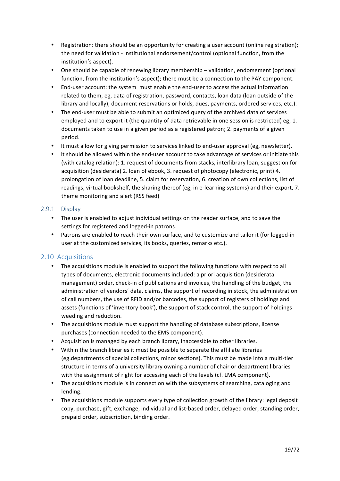- Registration: there should be an opportunity for creating a user account (online registration); the need for validation - institutional endorsement/control (optional function, from the institution's aspect).
- One should be capable of renewing library membership validation, endorsement (optional function, from the institution's aspect); there must be a connection to the PAY component.
- End-user account: the system must enable the end-user to access the actual information related to them, eg, data of registration, password, contacts, loan data (loan outside of the library and locally), document reservations or holds, dues, payments, ordered services, etc.).
- The end-user must be able to submit an optimized query of the archived data of services employed and to export it (the quantity of data retrievable in one session is restricted) eg, 1. documents taken to use in a given period as a registered patron; 2. payments of a given period.
- It must allow for giving permission to services linked to end-user approval (eg, newsletter).
- It should be allowed within the end-user account to take advantage of services or initiate this (with catalog relation): 1. request of documents from stacks, interlibrary loan, suggestion for acquisition (desiderata) 2. loan of ebook, 3. request of photocopy (electronic, print) 4. prolongation of loan deadline, 5. claim for reservation, 6. creation of own collections, list of readings, virtual bookshelf, the sharing thereof (eg, in e-learning systems) and their export, 7. theme monitoring and alert (RSS feed)

#### 2.9.1 Display

- The user is enabled to adjust individual settings on the reader surface, and to save the settings for registered and logged-in patrons.
- Patrons are enabled to reach their own surface, and to customize and tailor it (for logged-in user at the customized services, its books, queries, remarks etc.).

#### 2.10 Acquisitions

- The acquisitions module is enabled to support the following functions with respect to all types of documents, electronic documents included: a priori acquisition (desiderata management) order, check-in of publications and invoices, the handling of the budget, the administration of vendors' data, claims, the support of recording in stock, the administration of call numbers, the use of RFID and/or barcodes, the support of registers of holdings and assets (functions of 'inventory book'), the support of stack control, the support of holdings weeding and reduction.
- The acquisitions module must support the handling of database subscriptions, license purchases (connection needed to the EMS component).
- Acquisition is managed by each branch library, inaccessible to other libraries.
- Within the branch libraries it must be possible to separate the affiliate libraries (eg.departments of special collections, minor sections). This must be made into a multi-tier structure in terms of a university library owning a number of chair or department libraries with the assignment of right for accessing each of the levels (cf. LMA component).
- The acquisitions module is in connection with the subsystems of searching, cataloging and lending.
- The acquisitions module supports every type of collection growth of the library: legal deposit copy, purchase, gift, exchange, individual and list-based order, delayed order, standing order, prepaid order, subscription, binding order.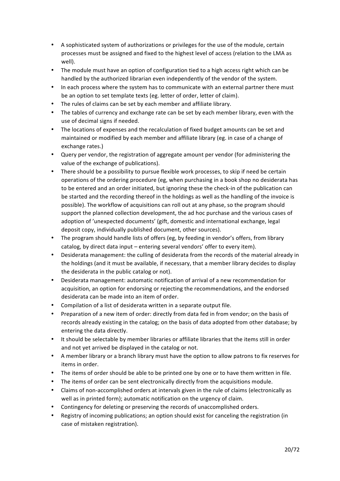- A sophisticated system of authorizations or privileges for the use of the module, certain processes must be assigned and fixed to the highest level of access (relation to the LMA as well).
- The module must have an option of configuration tied to a high access right which can be handled by the authorized librarian even independently of the vendor of the system.
- In each process where the system has to communicate with an external partner there must be an option to set template texts (eg. letter of order, letter of claim).
- The rules of claims can be set by each member and affiliate library.
- The tables of currency and exchange rate can be set by each member library, even with the use of decimal signs if needed.
- The locations of expenses and the recalculation of fixed budget amounts can be set and maintained or modified by each member and affiliate library (eg. in case of a change of exchange rates.)
- Query per vendor, the registration of aggregate amount per vendor (for administering the value of the exchange of publications).
- There should be a possibility to pursue flexible work processes, to skip if need be certain operations of the ordering procedure (eg, when purchasing in a book shop no desiderata has to be entered and an order initiated, but ignoring these the check-in of the publication can be started and the recording thereof in the holdings as well as the handling of the invoice is possible). The workflow of acquisitions can roll out at any phase, so the program should support the planned collection development, the ad hoc purchase and the various cases of adoption of 'unexpected documents' (gift, domestic and international exchange, legal deposit copy, individually published document, other sources).
- The program should handle lists of offers (eg, by feeding in vendor's offers, from library catalog, by direct data input – entering several vendors' offer to every item).
- Desiderata management: the culling of desiderata from the records of the material already in the holdings (and it must be available, if necessary, that a member library decides to display the desiderata in the public catalog or not).
- Desiderata management: automatic notification of arrival of a new recommendation for acquisition, an option for endorsing or rejecting the recommendations, and the endorsed desiderata can be made into an item of order.
- Compilation of a list of desiderata written in a separate output file.
- Preparation of a new item of order: directly from data fed in from vendor; on the basis of records already existing in the catalog; on the basis of data adopted from other database; by entering the data directly.
- It should be selectable by member libraries or affiliate libraries that the items still in order and not yet arrived be displayed in the catalog or not.
- A member library or a branch library must have the option to allow patrons to fix reserves for items in order.
- The items of order should be able to be printed one by one or to have them written in file.
- The items of order can be sent electronically directly from the acquisitions module.
- Claims of non-accomplished orders at intervals given in the rule of claims (electronically as well as in printed form); automatic notification on the urgency of claim.
- Contingency for deleting or preserving the records of unaccomplished orders.
- Registry of incoming publications; an option should exist for canceling the registration (in case of mistaken registration).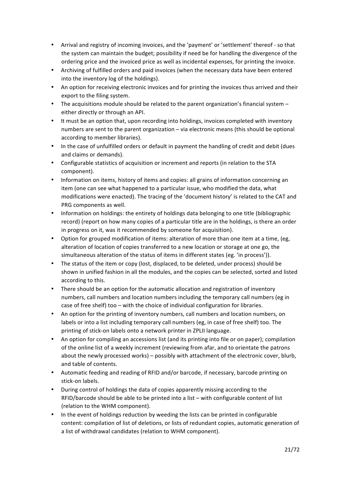- Arrival and registry of incoming invoices, and the 'payment' or 'settlement' thereof so that the system can maintain the budget; possibility if need be for handling the divergence of the ordering price and the invoiced price as well as incidental expenses, for printing the invoice.
- Archiving of fulfilled orders and paid invoices (when the necessary data have been entered into the inventory log of the holdings).
- An option for receiving electronic invoices and for printing the invoices thus arrived and their export to the filing system.
- The acquisitions module should be related to the parent organization's financial system either directly or through an API.
- It must be an option that, upon recording into holdings, invoices completed with inventory numbers are sent to the parent organization – via electronic means (this should be optional according to member libraries).
- In the case of unfulfilled orders or default in payment the handling of credit and debit (dues and claims or demands).
- Configurable statistics of acquisition or increment and reports (in relation to the STA component).
- Information on items, history of items and copies: all grains of information concerning an item (one can see what happened to a particular issue, who modified the data, what modifications were enacted). The tracing of the 'document history' is related to the CAT and PRG components as well.
- Information on holdings: the entirety of holdings data belonging to one title (bibliographic record) (report on how many copies of a particular title are in the holdings, is there an order in progress on it, was it recommended by someone for acquisition).
- Option for grouped modification of items: alteration of more than one item at a time, (eg, alteration of location of copies transferred to a new location or storage at one go, the simultaneous alteration of the status of items in different states (eg. 'in process')).
- The status of the item or copy (lost, displaced, to be deleted, under process) should be shown in unified fashion in all the modules, and the copies can be selected, sorted and listed according to this.
- There should be an option for the automatic allocation and registration of inventory numbers, call numbers and location numbers including the temporary call numbers (eg in case of free shelf) too  $-$  with the choice of individual configuration for libraries.
- An option for the printing of inventory numbers, call numbers and location numbers, on labels or into a list including temporary call numbers (eg. in case of free shelf) too. The printing of stick-on labels onto a network printer in ZPLII language.
- An option for compiling an accessions list (and its printing into file or on paper); compilation of the online list of a weekly increment (reviewing from afar, and to orientate the patrons about the newly processed works) – possibly with attachment of the electronic cover, blurb, and table of contents.
- Automatic feeding and reading of RFID and/or barcode, if necessary, barcode printing on stick-on labels.
- During control of holdings the data of copies apparently missing according to the RFID/barcode should be able to be printed into a list – with configurable content of list (relation to the WHM component).
- In the event of holdings reduction by weeding the lists can be printed in configurable content: compilation of list of deletions, or lists of redundant copies, automatic generation of a list of withdrawal candidates (relation to WHM component).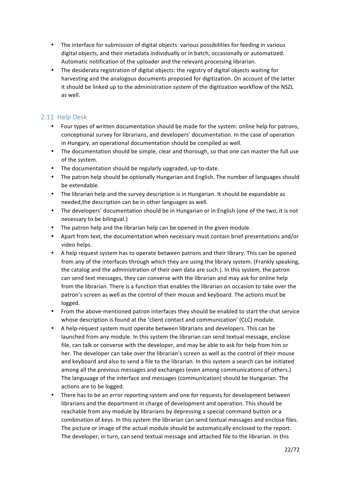- The interface for submission of digital objects: various possibilities for feeding in various digital objects, and their metadata individually or in batch, occasionally or automatized. Automatic notification of the uploader and the relevant processing librarian.
- The desiderata registration of digital objects: the registry of digital objects waiting for harvesting and the analogous documents proposed for digitization. On account of the latter it should be linked up to the administration system of the digitization workflow of the NSZL as well.

# 2.11 Help Desk

- Four types of written documentation should be made for the system: online help for patrons, conceptional survey for librarians, and developers' documentation. In the case of operation in Hungary, an operational documentation should be compiled as well.
- The documentation should be simple, clear and thorough, so that one can master the full use of the system.
- The documentation should be regularly upgraded, up-to-date.
- The patron help should be optionally Hungarian and English. The number of languages should be extendable.
- The librarian help and the survey description is in Hungarian. It should be expandable as needed, the description can be in other languages as well.
- The developers' documentation should be in Hungarian or in English (one of the two, it is not necessary to be bilingual.)
- The patron help and the librarian help can be opened in the given module.
- Apart from text, the documentation when necessary must contain brief presentations and/or video helps.
- A help request system has to operate between patrons and their library. This can be opened from any of the interfaces through which they are using the library system. (Frankly speaking, the catalog and the administration of their own data are such.). In this system, the patron can send text messages, they can converse with the librarian and may ask for online help from the librarian. There is a function that enables the librarian on occasion to take over the patron's screen as well as the control of their mouse and keyboard. The actions must be logged.
- From the above-mentioned patron interfaces they should be enabled to start the chat service whose description is found at the 'client contact and communication' (CLC) module.
- A help-request system must operate between librarians and developers. This can be launched from any module. In this system the librarian can send textual message, enclose file, can talk or converse with the developer, and may be able to ask for help from him or her. The developer can take over the librarian's screen as well as the control of their mouse and keyboard and also to send a file to the librarian. In this system a search can be initiated among all the previous messages and exchanges (even among communications of others.) The languuage of the interface and messages (communication) should be Hungarian. The actions are to be logged.
- There has to be an error reporting system and one for requests for development between librarians and the department in charge of development and operation. This should be reachable from any module by librarians by depressing a special command button or a combination of keys. In this system the librarian can send textual messages and enclose files. The picture or image of the actual module should be automatically enclosed to the report. The developer, in turn, can send textual message and attached file to the librarian. In this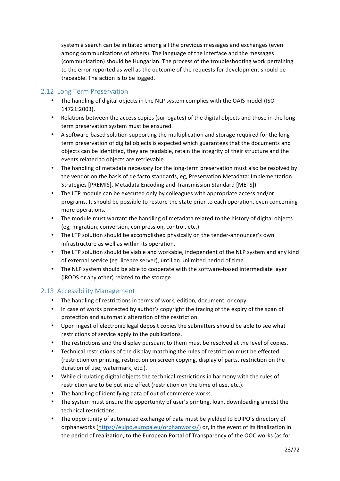system a search can be initiated among all the previous messages and exchanges (even among communications of others). The language of the interface and the messages (communication) should be Hungarian. The process of the troubleshooting work pertaining to the error reported as well as the outcome of the requests for development should be traceable. The action is to be logged.

# 2.12 Long Term Preservation

- The handling of digital objects in the NLP system complies with the OAIS model (ISO 14721:2003).
- Relations between the access copies (surrogates) of the digital objects and those in the longterm preservation system must be ensured.
- A software-based solution supporting the multiplication and storage required for the longterm preservation of digital objects is expected which guarantees that the documents and objects can be identified, they are readable, retain the integrity of their structure and the events related to objects are retrievable.
- The handling of metadata necessary for the long-term preservation must also be resolved by the vendor on the basis of de facto standards, eg, Preservation Metadata: Implementation Strategies [PREMIS], Metadata Encoding and Transmission Standard [METS]).
- The LTP module can be executed only by colleagues with appropriate access and/or programs. It should be possible to restore the state prior to each operation, even concerning more operations.
- The module must warrant the handling of metadata related to the history of digital objects (eg, migration, conversion, compression, control, etc.)
- The LTP solution should be accomplished physically on the tender-announcer's own infrastructure as well as within its operation.
- The LTP solution should be viable and workable, independent of the NLP system and any kind of external service (eg. licence server), until an unlimited period of time.
- The NLP system should be able to cooperate with the software-based intermediate layer (iRODS or any other) related to the storage.

#### 2.13 Accessibility Management

- The handling of restrictions in terms of work, edition, document, or copy.
- In case of works protected by author's copyright the tracing of the expiry of the span of protection and automatic alteration of the restriction.
- Upon ingest of electronic legal deposit copies the submitters should be able to see what restrictions of service apply to the publications.
- The restrictions and the display pursuant to them must be resolved at the level of copies.
- Technical restrictions of the display matching the rules of restriction must be effected (restriction on printing, restriction on screen copying, display of parts, restriction on the duration of use, watermark, etc.).
- While circulating digital objects the technical restrictions in harmony with the rules of restriction are to be put into effect (restriction on the time of use, etc.).
- The handling of identifying data of out of commerce works.
- The system must ensure the opportunity of user's printing, loan, downloading amidst the technical restrictions.
- The opportunity of automated exchange of data must be yielded to EUIPO's directory of orphanworks (https://euipo.europa.eu/orphanworks/) or, in the event of its finalization in the period of realization, to the European Portal of Transparency of the OOC works (as for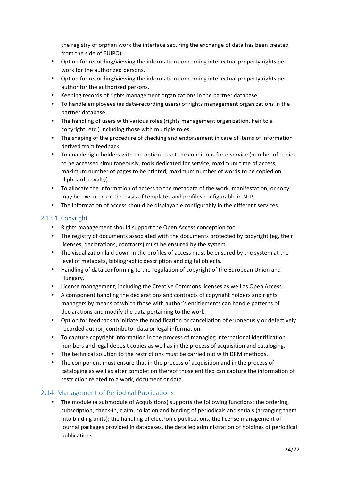the registry of orphan work the interface securing the exchange of data has been created from the side of EUIPO).

- Option for recording/viewing the information concerning intellectual property rights per work for the authorized persons.
- Option for recording/viewing the information concerning intellectual property rights per author for the authorized persons.
- Keeping records of rights management organizations in the partner database.
- To handle employees (as data-recording users) of rights management organizations in the partner database.
- The handling of users with various roles (rights management organization, heir to a copyright, etc.) including those with multiple roles.
- The shaping of the procedure of checking and endorsement in case of items of information derived from feedback.
- To enable right holders with the option to set the conditions for e-service (number of copies to be accessed simultaneously, tools dedicated for service, maximum time of access, maximum number of pages to be printed, maximum number of words to be copied on clipboard, royalty).
- To allocate the information of access to the metadata of the work, manifestation, or copy may be executed on the basis of templates and profiles configurable in NLP.
- The information of access should be displayable configurably in the different services.

#### 2.13.1 Copyright

- Rights management should support the Open Access conception too.
- The registry of documents associated with the documents protected by copyright (eg, their licenses, declarations, contracts) must be ensured by the system.
- The visualization laid down in the profiles of access must be ensured by the system at the level of metadata, bibliographic description and digital objects.
- Handling of data conforming to the regulation of copyright of the European Union and Hungary.
- License management, including the Creative Commons licenses as well as Open Access.
- A component handling the declarations and contracts of copyright holders and rights managers by means of which those with author's entitlements can handle patterns of declarations and modify the data pertaining to the work.
- Option for feedback to initiate the modification or cancellation of erroneously or defectively recorded author, contributor data or legal information.
- To capture copyright information in the process of managing international identification numbers and legal deposit copies as well as in the process of acquisition and cataloging.
- The technical solution to the restrictions must be carried out with DRM methods.
- The component must ensure that in the process of acquisition and in the process of cataloging as well as after completion thereof those entitled can capture the information of restriction related to a work, document or data.

#### 2.14 Management of Periodical Publications

• The module (a submodule of Acquisitions) supports the following functions: the ordering, subscription, check-in, claim, collation and binding of periodicals and serials (arranging them into binding units); the handling of electronic publications, the license management of journal packages provided in databases, the detailed administration of holdings of periodical publications.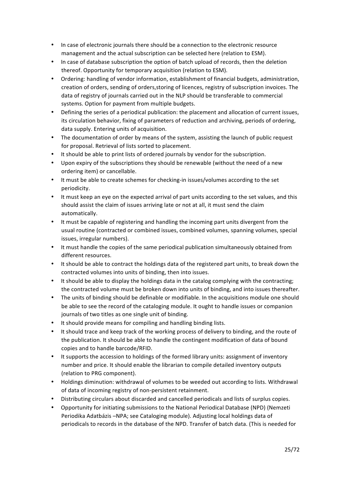- In case of electronic journals there should be a connection to the electronic resource management and the actual subscription can be selected here (relation to ESM).
- In case of database subscription the option of batch upload of records, then the deletion thereof. Opportunity for temporary acquisition (relation to ESM).
- Ordering: handling of vendor information, establishment of financial budgets, administration, creation of orders, sending of orders, storing of licences, registry of subscription invoices. The data of registry of journals carried out in the NLP should be transferable to commercial systems. Option for payment from multiple budgets.
- Defining the series of a periodical publication: the placement and allocation of current issues, its circulation behavior, fixing of parameters of reduction and archiving, periods of ordering, data supply. Entering units of acquisition.
- The documentation of order by means of the system, assisting the launch of public request for proposal. Retrieval of lists sorted to placement.
- It should be able to print lists of ordered journals by vendor for the subscription.
- Upon expiry of the subscriptions they should be renewable (without the need of a new ordering item) or cancellable.
- It must be able to create schemes for checking-in issues/volumes according to the set periodicity.
- It must keep an eye on the expected arrival of part units according to the set values, and this should assist the claim of issues arriving late or not at all, it must send the claim automatically.
- It must be capable of registering and handling the incoming part units divergent from the usual routine (contracted or combined issues, combined volumes, spanning volumes, special issues, irregular numbers).
- It must handle the copies of the same periodical publication simultaneously obtained from different resources.
- It should be able to contract the holdings data of the registered part units, to break down the contracted volumes into units of binding, then into issues.
- It should be able to display the holdings data in the catalog complying with the contracting; the contracted volume must be broken down into units of binding, and into issues thereafter.
- The units of binding should be definable or modifiable. In the acquisitions module one should be able to see the record of the cataloging module. It ought to handle issues or companion journals of two titles as one single unit of binding.
- It should provide means for compiling and handling binding lists.
- It should trace and keep track of the working process of delivery to binding, and the route of the publication. It should be able to handle the contingent modification of data of bound copies and to handle barcode/RFID.
- It supports the accession to holdings of the formed library units: assignment of inventory number and price. It should enable the librarian to compile detailed inventory outputs (relation to PRG component).
- Holdings diminution: withdrawal of volumes to be weeded out according to lists. Withdrawal of data of incoming registry of non-persistent retainment.
- Distributing circulars about discarded and cancelled periodicals and lists of surplus copies.
- Opportunity for initiating submissions to the National Periodical Database (NPD) (Nemzeti Periodika Adatbázis –NPA; see Cataloging module). Adjusting local holdings data of periodicals to records in the database of the NPD. Transfer of batch data. (This is needed for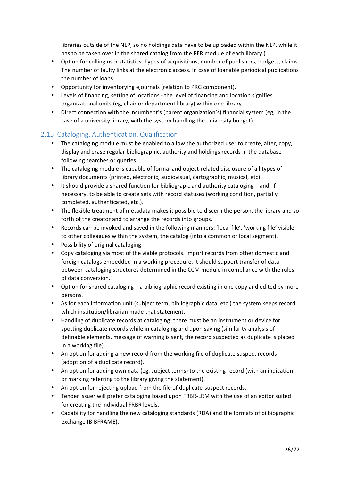libraries outside of the NLP, so no holdings data have to be uploaded within the NLP, while it has to be taken over in the shared catalog from the PER module of each library.)

- Option for culling user statistics. Types of acquisitions, number of publishers, budgets, claims. The number of faulty links at the electronic access. In case of loanable periodical publications the number of loans.
- Opportunity for inventorying ejournals (relation to PRG component).
- Levels of financing, setting of locations the level of financing and location signifies organizational units (eg, chair or department library) within one library.
- Direct connection with the incumbent's (parent organization's) financial system (eg, in the case of a university library, with the system handling the university budget).

# 2.15 Cataloging, Authentication, Qualification

- The cataloging module must be enabled to allow the authorized user to create, alter, copy, display and erase regular bibliographic, authority and holdings records in the database  $$ following searches or queries.
- The cataloging module is capable of formal and object-related disclosure of all types of library documents (printed, electronic, audiovisual, cartographic, musical, etc).
- It should provide a shared function for bibliograpic and authority cataloging and, if necessary, to be able to create sets with record statuses (working condition, partially completed, authenticated, etc.).
- The flexible treatment of metadata makes it possible to discern the person, the library and so forth of the creator and to arrange the records into groups.
- Records can be invoked and saved in the following manners: 'local file', 'working file' visible to other colleagues within the system, the catalog (into a common or local segment).
- Possibility of original cataloging.
- Copy cataloging via most of the viable protocols. Import records from other domestic and foreign catalogs embedded in a working procedure. It should support transfer of data between cataloging structures determined in the CCM module in compliance with the rules of data conversion.
- Option for shared cataloging a bibliographic record existing in one copy and edited by more persons.
- As for each information unit (subject term, bibliographic data, etc.) the system keeps record which institution/librarian made that statement.
- Handling of duplicate records at cataloging: there must be an instrument or device for spotting duplicate records while in cataloging and upon saving (similarity analysis of definable elements, message of warning is sent, the record suspected as duplicate is placed in a working file).
- An option for adding a new record from the working file of duplicate suspect records (adoption of a duplicate record).
- An option for adding own data (eg. subject terms) to the existing record (with an indication or marking referring to the library giving the statement).
- An option for rejecting upload from the file of duplicate-suspect records.
- Tender issuer will prefer cataloging based upon FRBR-LRM with the use of an editor suited for creating the individual FRBR levels.
- Capability for handling the new cataloging standards (RDA) and the formats of bilbiographic exchange (BIBFRAME).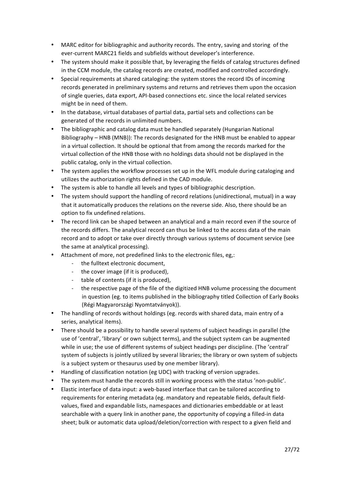- MARC editor for bibliographic and authority records. The entry, saving and storing of the ever-current MARC21 fields and subfields without developer's interference.
- The system should make it possible that, by leveraging the fields of catalog structures defined in the CCM module, the catalog records are created, modified and controlled accordingly.
- Special requirements at shared cataloging: the system stores the record IDs of incoming records generated in preliminary systems and returns and retrieves them upon the occasion of single queries, data export, API-based connections etc. since the local related services might be in need of them.
- In the database, virtual databases of partial data, partial sets and collections can be generated of the records in unlimited numbers.
- The bibliographic and catalog data must be handled separately (Hungarian National Bibliography – HNB (MNB)): The records designated for the HNB must be enabled to appear in a virtual collection. It should be optional that from among the records marked for the virtual collection of the HNB those with no holdings data should not be displayed in the public catalog, only in the virtual collection.
- The system applies the workflow processes set up in the WFL module during cataloging and utilizes the authorization rights defined in the CAD module.
- The system is able to handle all levels and types of bibliographic description.
- The system should support the handling of record relations (unidirectional, mutual) in a way that it automatically produces the relations on the reverse side. Also, there should be an option to fix undefined relations.
- The record link can be shaped between an analytical and a main record even if the source of the records differs. The analytical record can thus be linked to the access data of the main record and to adopt or take over directly through various systems of document service (see the same at analytical processing).
- Attachment of more, not predefined links to the electronic files, eg.:
	- the fulltext electronic document,
	- the cover image (if it is produced),
	- table of contents (if it is produced),
	- the respective page of the file of the digitized HNB volume processing the document in question (eg. to items published in the bibliography titled Collection of Early Books (Régi Magyarországi Nyomtatványok)).
- The handling of records without holdings (eg. records with shared data, main entry of a series, analytical items).
- There should be a possibility to handle several systems of subject headings in parallel (the use of 'central', 'library' or own subject terms), and the subject system can be augmented while in use; the use of different systems of subject headings per discipline. (The 'central' system of subjects is jointly utilized by several libraries; the library or own system of subjects is a subject system or thesaurus used by one member library).
- Handling of classification notation (eg UDC) with tracking of version upgrades.
- The system must handle the records still in working process with the status 'non-public'.
- Elastic interface of data input: a web-based interface that can be tailored according to requirements for entering metadata (eg. mandatory and repeatable fields, default fieldvalues, fixed and expandable lists, namespaces and dictionaries embeddable or at least searchable with a query link in another pane, the opportunity of copying a filled-in data sheet; bulk or automatic data upload/deletion/correction with respect to a given field and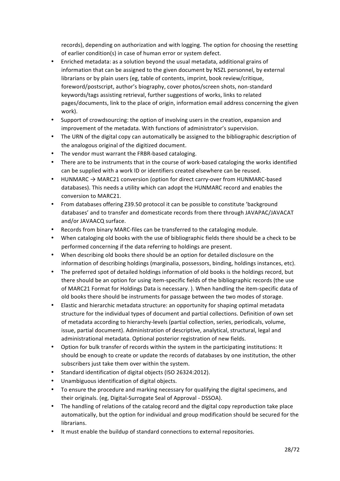records), depending on authorization and with logging. The option for choosing the resetting of earlier condition(s) in case of human error or system defect.

- Enriched metadata: as a solution beyond the usual metadata, additional grains of information that can be assigned to the given document by NSZL personnel, by external librarians or by plain users (eg, table of contents, imprint, book review/critique, foreword/postscript, author's biography, cover photos/screen shots, non-standard keywords/tags assisting retrieval, further suggestions of works, links to related pages/documents, link to the place of origin, information email address concerning the given work).
- Support of crowdsourcing: the option of involving users in the creation, expansion and improvement of the metadata. With functions of administrator's supervision.
- The URN of the digital copy can automatically be assigned to the bibliographic description of the analogous original of the digitized document.
- The vendor must warrant the FRBR-based cataloging.
- There are to be instruments that in the course of work-based cataloging the works identified can be supplied with a work ID or identifiers created elsewhere can be reused.
- HUNMARC  $\rightarrow$  MARC21 conversion (option for direct carry-over from HUNMARC-based databases). This needs a utility which can adopt the HUNMARC record and enables the conversion to MARC21.
- From databases offering Z39.50 protocol it can be possible to constitute 'background databases' and to transfer and domesticate records from there through JAVAPAC/JAVACAT and/or JAVAACQ surface.
- Records from binary MARC-files can be transferred to the cataloging module.
- When cataloging old books with the use of bibliographic fields there should be a check to be performed concerning if the data referring to holdings are present.
- When describing old books there should be an option for detailed disclosure on the information of describing holdings (marginalia, possessors, binding, holdings instances, etc).
- The preferred spot of detailed holdings information of old books is the holdings record, but there should be an option for using item-specific fields of the bibliographic records (the use of MARC21 Format for Holdings Data is necessary. ). When handling the item-specific data of old books there should be instruments for passage between the two modes of storage.
- Elastic and hierarchic metadata structure: an opportunity for shaping optimal metadata structure for the individual types of document and partial collections. Definition of own set of metadata according to hierarchy-levels (partial collection, series, periodicals, volume, issue, partial document). Administration of descriptive, analytical, structural, legal and administrational metadata. Optional posterior registration of new fields.
- Option for bulk transfer of records within the system in the participating institutions: It should be enough to create or update the records of databases by one institution, the other subscribers just take them over within the system.
- Standard identification of digital objects (ISO 26324:2012).
- Unambiguous identification of digital objects.
- To ensure the procedure and marking necessary for qualifying the digital specimens, and their originals. (eg, Digital-Surrogate Seal of Approval - DSSOA).
- The handling of relations of the catalog record and the digital copy reproduction take place automatically, but the option for individual and group modification should be secured for the librarians.
- It must enable the buildup of standard connections to external repositories.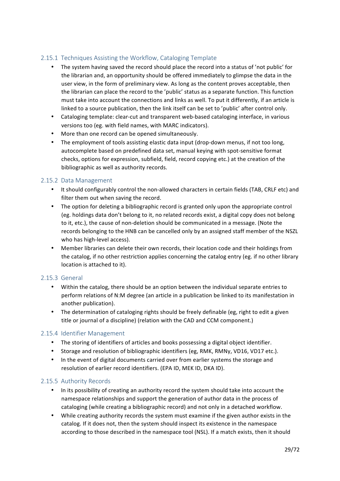#### 2.15.1 Techniques Assisting the Workflow, Cataloging Template

- The system having saved the record should place the record into a status of 'not public' for the librarian and, an opportunity should be offered immediately to glimpse the data in the user view, in the form of preliminary view. As long as the content proves acceptable, then the librarian can place the record to the 'public' status as a separate function. This function must take into account the connections and links as well. To put it differently, if an article is linked to a source publication, then the link itself can be set to 'public' after control only.
- Cataloging template: clear-cut and transparent web-based cataloging interface, in various versions too (eg. with field names, with MARC indicators).
- More than one record can be opened simultaneously.
- The employment of tools assisting elastic data input (drop-down menus, if not too long, autocomplete based on predefined data set, manual keying with spot-sensitive format checks, options for expression, subfield, field, record copying etc.) at the creation of the bibliographic as well as authority records.

#### 2.15.2 Data Management

- It should configurably control the non-allowed characters in certain fields (TAB, CRLF etc) and filter them out when saving the record.
- The option for deleting a bibliographic record is granted only upon the appropriate control (eg. holdings data don't belong to it, no related records exist, a digital copy does not belong to it, etc.), the cause of non-deletion should be communicated in a message. (Note the records belonging to the HNB can be cancelled only by an assigned staff member of the NSZL who has high-level access).
- Member libraries can delete their own records, their location code and their holdings from the catalog, if no other restriction applies concerning the catalog entry (eg. if no other library location is attached to it).

#### 2.15.3 General

- Within the catalog, there should be an option between the individual separate entries to perform relations of N:M degree (an article in a publication be linked to its manifestation in another publication).
- The determination of cataloging rights should be freely definable (eg, right to edit a given title or journal of a discipline) (relation with the CAD and CCM component.)

#### 2.15.4 Identifier Management

- The storing of identifiers of articles and books possessing a digital object identifier.
- Storage and resolution of bibliographic identifiers (eg, RMK, RMNy, VD16, VD17 etc.).
- In the event of digital documents carried over from earlier systems the storage and resolution of earlier record identifiers. (EPA ID, MEK ID, DKA ID).

#### 2.15.5 Authority Records

- In its possibility of creating an authority record the system should take into account the namespace relationships and support the generation of author data in the process of cataloging (while creating a bibliographic record) and not only in a detached workflow.
- While creating authority records the system must examine if the given author exists in the catalog. If it does not, then the system should inspect its existence in the namespace according to those described in the namespace tool (NSL). If a match exists, then it should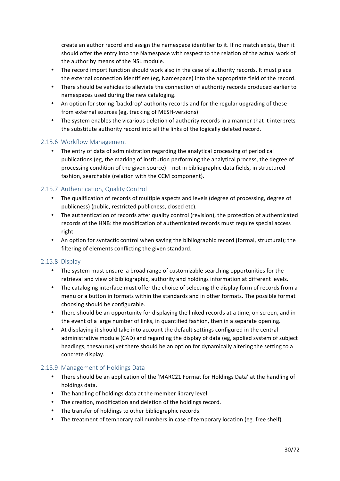create an author record and assign the namespace identifier to it. If no match exists, then it should offer the entry into the Namespace with respect to the relation of the actual work of the author by means of the NSL module.

- The record import function should work also in the case of authority records. It must place the external connection identifiers (eg, Namespace) into the appropriate field of the record.
- There should be vehicles to alleviate the connection of authority records produced earlier to namespaces used during the new cataloging.
- An option for storing 'backdrop' authority records and for the regular upgrading of these from external sources (eg, tracking of MESH-versions).
- The system enables the vicarious deletion of authority records in a manner that it interprets the substitute authority record into all the links of the logically deleted record.

#### 2.15.6 Workflow Management

• The entry of data of administration regarding the analytical processing of periodical publications (eg, the marking of institution performing the analytical process, the degree of processing condition of the given source) – not in bibliographic data fields, in structured fashion, searchable (relation with the CCM component).

#### 2.15.7 Authentication, Quality Control

- The qualification of records of multiple aspects and levels (degree of processing, degree of publicness) (public, restricted publicness, closed etc).
- The authentication of records after quality control (revision), the protection of authenticated records of the HNB: the modification of authenticated records must require special access right.
- An option for syntactic control when saving the bibliographic record (formal, structural); the filtering of elements conflicting the given standard.

#### 2.15.8 Display

- The system must ensure a broad range of customizable searching opportunities for the retrieval and view of bibliographic, authority and holdings information at different levels.
- The cataloging interface must offer the choice of selecting the display form of records from a menu or a button in formats within the standards and in other formats. The possible format choosing should be configurable.
- There should be an opportunity for displaying the linked records at a time, on screen, and in the event of a large number of links, in quantified fashion, then in a separate opening.
- At displaying it should take into account the default settings configured in the central administrative module (CAD) and regarding the display of data (eg, applied system of subject headings, thesaurus) yet there should be an option for dynamically altering the setting to a concrete display.

#### 2.15.9 Management of Holdings Data

- There should be an application of the 'MARC21 Format for Holdings Data' at the handling of holdings data.
- The handling of holdings data at the member library level.
- The creation, modification and deletion of the holdings record.
- The transfer of holdings to other bibliographic records.
- The treatment of temporary call numbers in case of temporary location (eg. free shelf).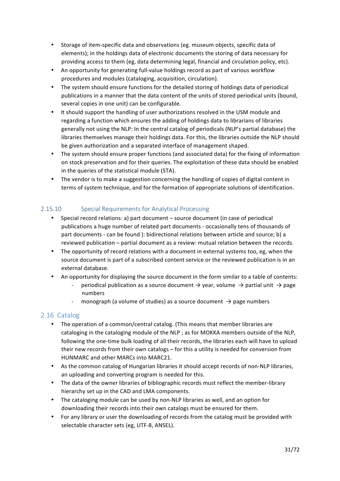- Storage of item-specific data and observations (eg. museum objects, specific data of elements); in the holdings data of electronic documents the storing of data necessary for providing access to them (eg, data determining legal, financial and circulation policy, etc).
- An opportunity for generating full-value holdings record as part of various workflow procedures and modules (cataloging, acquisition, circulation).
- The system should ensure functions for the detailed storing of holdings data of periodical publications in a manner that the data content of the units of stored periodical units (bound, several copies in one unit) can be configurable.
- It should support the handling of user authorizations resolved in the USM module and regarding a function which ensures the adding of holdings data to librarians of libraries generally not using the NLP: In the central catalog of periodicals (NLP's partial database) the libraries themselves manage their holdings data. For this, the libraries outside the NLP should be given authorization and a separated interface of management shaped.
- The system should ensure proper functions (and associated data) for the fixing of information on stock preservation and for their queries. The exploitation of these data should be enabled in the queries of the statistical module (STA).
- The vendor is to make a suggestion concerning the handling of copies of digital content in terms of system technique, and for the formation of appropriate solutions of identification.

# 2.15.10 Special Requirements for Analytical Processing

- Special record relations: a) part document source document (in case of periodical publications a huge number of related part documents - occasionally tens of thousands of part documents - can be found ): bidirectional relations between article and source; b) a reviewed publication - partial document as a review: mutual relation between the records.
- The opportunity of record relations with a document in external systems too, eg, when the source document is part of a subscribed content service or the reviewed publication is in an external database.
- An opportunity for displaying the source document in the form similar to a table of contents:
	- periodical publication as a source document  $\rightarrow$  year, volume  $\rightarrow$  partial unit  $\rightarrow$  page numbers
	- monograph (a volume of studies) as a source document  $\rightarrow$  page numbers

# 2.16 Catalog

- The operation of a common/central catalog. (This means that member libraries are cataloging in the cataloging module of the NLP ; as for MOKKA members outside of the NLP, following the one-time bulk loading of all their records, the libraries each will have to upload their new records from their own catalogs – for this a utility is needed for conversion from HUNMARC and other MARCs into MARC21.
- As the common catalog of Hungarian libraries it should accept records of non-NLP libraries, an uploading and converting program is needed for this.
- The data of the owner libraries of bibliographic records must reflect the member-library hierarchy set up in the CAD and LMA components.
- The cataloging module can be used by non-NLP libraries as well, and an option for downloading their records into their own catalogs must be ensured for them.
- For any library or user the downloading of records from the catalog must be provided with selectable character sets (eg, UTF-8, ANSEL).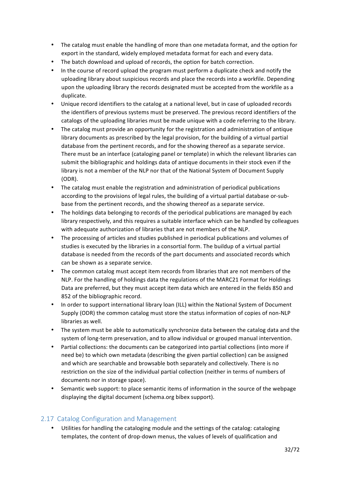- The catalog must enable the handling of more than one metadata format, and the option for export in the standard, widely employed metadata format for each and every data.
- The batch download and upload of records, the option for batch correction.
- In the course of record upload the program must perform a duplicate check and notify the uploading library about suspicious records and place the records into a workfile. Depending upon the uploading library the records designated must be accepted from the workfile as a duplicate.
- Unique record identifiers to the catalog at a national level, but in case of uploaded records the identifiers of previous systems must be preserved. The previous record identifiers of the catalogs of the uploading libraries must be made unique with a code referring to the library.
- The catalog must provide an opportunity for the registration and administration of antique library documents as prescribed by the legal provision, for the building of a virtual partial database from the pertinent records, and for the showing thereof as a separate service. There must be an interface (cataloging panel or template) in which the relevant libraries can submit the bibliographic and holdings data of antique documents in their stock even if the library is not a member of the NLP nor that of the National System of Document Supply (ODR).
- The catalog must enable the registration and administration of periodical publications according to the provisions of legal rules, the building of a virtual partial database or-subbase from the pertinent records, and the showing thereof as a separate service.
- The holdings data belonging to records of the periodical publications are managed by each library respectively, and this requires a suitable interface which can be handled by colleagues with adequate authorization of libraries that are not members of the NLP.
- The processing of articles and studies published in periodical publications and volumes of studies is executed by the libraries in a consortial form. The buildup of a virtual partial database is needed from the records of the part documents and associated records which can be shown as a separate service.
- The common catalog must accept item records from libraries that are not members of the NLP. For the handling of holdings data the regulations of the MARC21 Format for Holdings Data are preferred, but they must accept item data which are entered in the fields 850 and 852 of the bibliographic record.
- In order to support international library loan (ILL) within the National System of Document Supply (ODR) the common catalog must store the status information of copies of non-NLP libraries as well.
- The system must be able to automatically synchronize data between the catalog data and the system of long-term preservation, and to allow individual or grouped manual intervention.
- Partial collections: the documents can be categorized into partial collections (into more if need be) to which own metadata (describing the given partial collection) can be assigned and which are searchable and browsable both separately and collectively. There is no restriction on the size of the individual partial collection (neither in terms of numbers of documents nor in storage space).
- Semantic web support: to place semantic items of information in the source of the webpage displaying the digital document (schema.org bibex support).

#### 2.17 Catalog Configuration and Management

Utilities for handling the cataloging module and the settings of the catalog: cataloging templates, the content of drop-down menus, the values of levels of qualification and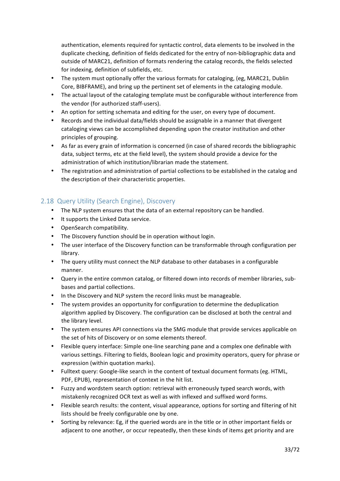authentication, elements required for syntactic control, data elements to be involved in the duplicate checking, definition of fields dedicated for the entry of non-bibliographic data and outside of MARC21, definition of formats rendering the catalog records, the fields selected for indexing, definition of subfields, etc.

- The system must optionally offer the various formats for cataloging, (eg, MARC21, Dublin Core, BIBFRAME), and bring up the pertinent set of elements in the cataloging module.
- The actual layout of the cataloging template must be configurable without interference from the vendor (for authorized staff-users).
- An option for setting schemata and editing for the user, on every type of document.
- Records and the individual data/fields should be assignable in a manner that divergent cataloging views can be accomplished depending upon the creator institution and other principles of grouping.
- As far as every grain of information is concerned (in case of shared records the bibliographic data, subject terms, etc at the field level), the system should provide a device for the administration of which institution/librarian made the statement.
- The registration and administration of partial collections to be established in the catalog and the description of their characteristic properties.

# 2.18 Query Utility (Search Engine), Discovery

- The NLP system ensures that the data of an external repository can be handled.
- It supports the Linked Data service.
- OpenSearch compatibility.
- The Discovery function should be in operation without login.
- The user interface of the Discovery function can be transformable through configuration per library.
- The query utility must connect the NLP database to other databases in a configurable manner.
- Query in the entire common catalog, or filtered down into records of member libraries, subbases and partial collections.
- In the Discovery and NLP system the record links must be manageable.
- The system provides an opportunity for configuration to determine the deduplication algorithm applied by Discovery. The configuration can be disclosed at both the central and the library level.
- The system ensures API connections via the SMG module that provide services applicable on the set of hits of Discovery or on some elements thereof.
- Flexible query interface: Simple one-line searching pane and a complex one definable with various settings. Filtering to fields, Boolean logic and proximity operators, query for phrase or expression (within quotation marks).
- Fulltext query: Google-like search in the content of textual document formats (eg. HTML, PDF, EPUB), representation of context in the hit list.
- Fuzzy and wordstem search option: retrieval with erroneously typed search words, with mistakenly recognized OCR text as well as with inflexed and suffixed word forms.
- Flexible search results: the content, visual appearance, options for sorting and filtering of hit lists should be freely configurable one by one.
- Sorting by relevance: Eg, if the queried words are in the title or in other important fields or adjacent to one another, or occur repeatedly, then these kinds of items get priority and are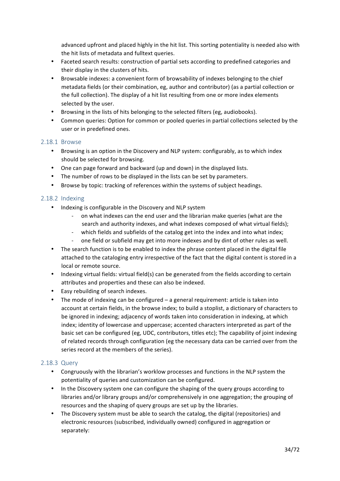advanced upfront and placed highly in the hit list. This sorting potentiality is needed also with the hit lists of metadata and fulltext queries.

- Faceted search results: construction of partial sets according to predefined categories and their display in the clusters of hits.
- Browsable indexes: a convenient form of browsability of indexes belonging to the chief metadata fields (or their combination, eg, author and contributor) (as a partial collection or the full collection). The display of a hit list resulting from one or more index elements selected by the user.
- Browsing in the lists of hits belonging to the selected filters (eg, audiobooks).
- Common queries: Option for common or pooled queries in partial collections selected by the user or in predefined ones.

#### 2.18.1 Browse

- Browsing is an option in the Discovery and NLP system: configurably, as to which index should be selected for browsing.
- One can page forward and backward (up and down) in the displayed lists.
- The number of rows to be displayed in the lists can be set by parameters.
- Browse by topic: tracking of references within the systems of subject headings.

#### 2.18.2 Indexing

- Indexing is configurable in the Discovery and NLP system
	- on what indexes can the end user and the librarian make queries (what are the search and authority indexes, and what indexes composed of what virtual fields);
	- which fields and subfields of the catalog get into the index and into what index; one field or subfield may get into more indexes and by dint of other rules as well.
- The search function is to be enabled to index the phrase content placed in the digital file attached to the cataloging entry irrespective of the fact that the digital content is stored in a local or remote source.
- Indexing virtual fields: virtual field(s) can be generated from the fields according to certain attributes and properties and these can also be indexed.
- Easy rebuilding of search indexes.
- The mode of indexing can be configured a general requirement: article is taken into account at certain fields, in the browse index; to build a stoplist, a dictionary of characters to be ignored in indexing; adjacency of words taken into consideration in indexing, at which index; identity of lowercase and uppercase; accented characters interpreted as part of the basic set can be configured (eg, UDC, contributors, titles etc); The capability of joint indexing of related records through configuration (eg the necessary data can be carried over from the series record at the members of the series).

#### 2.18.3 Query

- Congruously with the librarian's worklow processes and functions in the NLP system the potentiality of queries and customization can be configured.
- In the Discovery system one can configure the shaping of the query groups according to libraries and/or library groups and/or comprehensively in one aggregation; the grouping of resources and the shaping of query groups are set up by the libraries.
- The Discovery system must be able to search the catalog, the digital (repositories) and electronic resources (subscribed, individually owned) configured in aggregation or separately: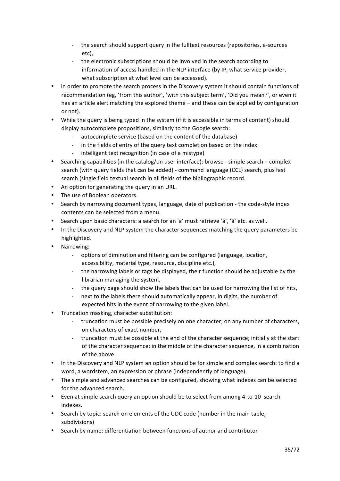- the search should support query in the fulltext resources (repositories, e-sources etc),
- the electronic subscriptions should be involved in the search according to information of access handled in the NLP interface (by IP, what service provider, what subscription at what level can be accessed).
- In order to promote the search process in the Discovery system it should contain functions of recommendation (eg, 'from this author', 'with this subject term', 'Did you mean?', or even it has an article alert matching the explored theme – and these can be applied by configuration or not).
- While the query is being typed in the system (if it is accessible in terms of content) should display autocomplete propositions, similarly to the Google search:
	- autocomplete service (based on the content of the database)
	- in the fields of entry of the query text completion based on the index
	- intelligent text recognition (in case of a mistype)
- Searching capabilities (in the catalog/on user interface): browse simple search complex search (with query fields that can be added) - command language (CCL) search, plus fast search (single field textual search in all fields of the bibliographic record.
- An option for generating the query in an URL.
- The use of Boolean operators.
- Search by narrowing document types, language, date of publication the code-style index contents can be selected from a menu.
- Search upon basic characters: a search for an 'a' must retrieve 'á', 'ä' etc. as well.
- In the Discovery and NLP system the character sequences matching the query parameters be highlighted.
- Narrowing:
	- options of diminution and filtering can be configured (language, location, accessibility, material type, resource, discipline etc.),
	- the narrowing labels or tags be displayed, their function should be adjustable by the librarian managing the system,
	- the query page should show the labels that can be used for narrowing the list of hits,
	- next to the labels there should automatically appear, in digits, the number of expected hits in the event of narrowing to the given label.
- Truncation masking, character substitution:
	- truncation must be possible precisely on one character; on any number of characters, on characters of exact number,
	- truncation must be possible at the end of the character sequence; initially at the start of the character sequence; in the middle of the character sequence, in a combination of the above.
- In the Discovery and NLP system an option should be for simple and complex search: to find a word, a wordstem, an expression or phrase (independently of language).
- The simple and advanced searches can be configured, showing what indexes can be selected for the advanced search.
- Even at simple search query an option should be to select from among 4-to-10 search indexes.
- Search by topic: search on elements of the UDC code (number in the main table, subdivisions)
- Search by name: differentiation between functions of author and contributor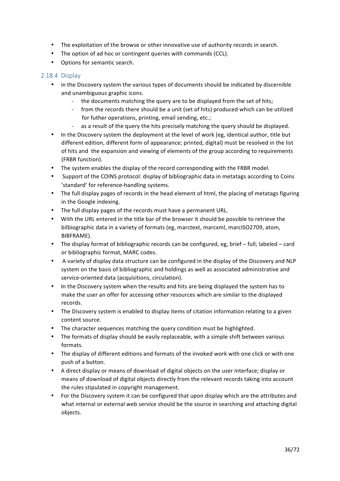- The exploitation of the browse or other innovative use of authority records in search.
- The option of ad hoc or contingent queries with commands (CCL).
- Options for semantic search.

#### 2.18.4 Display

- in the Discovery system the various types of documents should be indicated by discernible and unambiguous graphic icons.
	- the documents matching the query are to be displayed from the set of hits;
	- from the records there should be a unit (set of hits) produced which can be utilized for futher operations, printing, email sending, etc.;
	- as a result of the query the hits precisely matching the query should be displayed.
- In the Discovery system the deployment at the level of work (eg, identical author, title but different edition, different form of appearance; printed, digital) must be resolved in the list of hits and the expansion and viewing of elements of the group according to requirements (FRBR function).
- The system enables the display of the record corresponding with the FRBR model.
- Support of the COINS protocol: display of bibliographic data in metatags according to Coins 'standard' for reference-handling systems.
- The full display pages of records in the head element of html, the placing of metatags figuring in the Google indexing.
- The full display pages of the records must have a permanent URL.
- With the URL entered in the title bar of the browser it should be possible to retrieve the bilbiographic data in a variety of formats (eg, marctext, marcxml, marcISO2709, atom, BIBFRAME).
- The display format of bibliographic records can be configured, eg, brief  $-$  full; labeled  $-$  card or bibliographic format, MARC codes.
- A variety of display data structure can be configured in the display of the Discovery and NLP system on the basis of bibliographic and holdings as well as associated administrative and service-oriented data (acquisitions, circulation).
- In the Discovery system when the results and hits are being displayed the system has to make the user an offer for accessing other resources which are similar to the displayed records.
- The Discovery system is enabled to display items of citation information relating to a given content source.
- The character sequences matching the query condition must be highlighted.
- The formats of display should be easily replaceable, with a simple shift between various formats.
- The display of different editions and formats of the invoked work with one click or with one push of a button.
- A direct display or means of download of digital objects on the user interface; display or means of download of digital objects directly from the relevant records taking into account the rules stipulated in copyright management.
- For the Discovery system it can be configured that upon display which are the attributes and what internal or external web service should be the source in searching and attaching digital objects.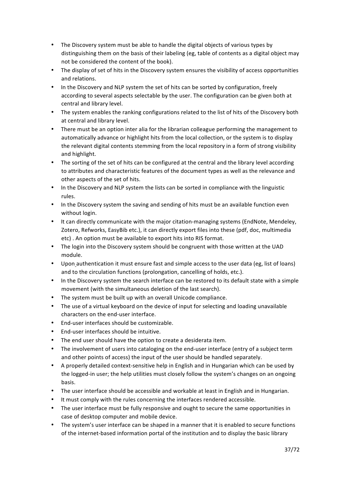- The Discovery system must be able to handle the digital objects of various types by distinguishing them on the basis of their labeling (eg, table of contents as a digital object may not be considered the content of the book).
- The display of set of hits in the Discovery system ensures the visibility of access opportunities and relations.
- In the Discovery and NLP system the set of hits can be sorted by configuration, freely according to several aspects selectable by the user. The configuration can be given both at central and library level.
- The system enables the ranking configurations related to the list of hits of the Discovery both at central and library level.
- There must be an option inter alia for the librarian colleague performing the management to automatically advance or highlight hits from the local collection, or the system is to display the relevant digital contents stemming from the local repository in a form of strong visibility and highlight.
- The sorting of the set of hits can be configured at the central and the library level according to attributes and characteristic features of the document types as well as the relevance and other aspects of the set of hits.
- In the Discovery and NLP system the lists can be sorted in compliance with the linguistic rules.
- In the Discovery system the saving and sending of hits must be an available function even without login.
- It can directly communicate with the major citation-managing systems (EndNote, Mendeley, Zotero, Refworks, EasyBib etc.), it can directly export files into these (pdf, doc, multimedia etc). An option must be available to export hits into RIS format.
- The login into the Discovery system should be congruent with those written at the UAD module.
- Upon authentication it must ensure fast and simple access to the user data (eg, list of loans) and to the circulation functions (prolongation, cancelling of holds, etc.).
- In the Discovery system the search interface can be restored to its default state with a simple movement (with the simultaneous deletion of the last search).
- The system must be built up with an overall Unicode compliance.
- The use of a virtual keyboard on the device of input for selecting and loading unavailable characters on the end-user interface.
- Fnd-user interfaces should be customizable.
- End-user interfaces should be intuitive.
- The end user should have the option to create a desiderata item.
- The involvement of users into cataloging on the end-user interface (entry of a subject term and other points of access) the input of the user should be handled separately.
- A properly detailed context-sensitive help in English and in Hungarian which can be used by the logged-in user; the help utilities must closely follow the system's changes on an ongoing basis.
- The user interface should be accessible and workable at least in English and in Hungarian.
- It must comply with the rules concerning the interfaces rendered accessible.
- The user interface must be fully responsive and ought to secure the same opportunities in case of desktop computer and mobile device.
- The system's user interface can be shaped in a manner that it is enabled to secure functions of the internet-based information portal of the institution and to display the basic library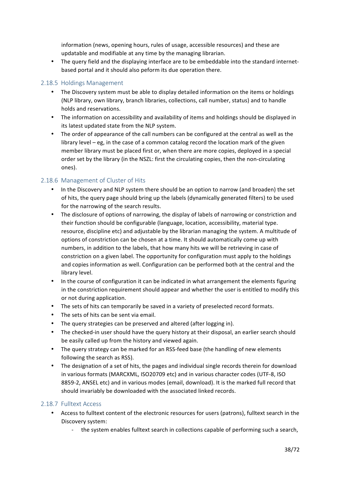information (news, opening hours, rules of usage, accessible resources) and these are updatable and modifiable at any time by the managing librarian.

• The query field and the displaying interface are to be embeddable into the standard internetbased portal and it should also peform its due operation there.

#### 2.18.5 Holdings Management

- The Discovery system must be able to display detailed information on the items or holdings (NLP library, own library, branch libraries, collections, call number, status) and to handle holds and reservations.
- The information on accessibility and availability of items and holdings should be displayed in its latest updated state from the NLP system.
- The order of appearance of the call numbers can be configured at the central as well as the library level – eg, in the case of a common catalog record the location mark of the given member library must be placed first or, when there are more copies, deployed in a special order set by the library (in the NSZL: first the circulating copies, then the non-circulating ones).

#### 2.18.6 Management of Cluster of Hits

- In the Discovery and NLP system there should be an option to narrow (and broaden) the set of hits, the query page should bring up the labels (dynamically generated filters) to be used for the narrowing of the search results.
- The disclosure of options of narrowing, the display of labels of narrowing or constriction and their function should be configurable (language, location, accessibility, material type. resource, discipline etc) and adjustable by the librarian managing the system. A multitude of options of constriction can be chosen at a time. It should automatically come up with numbers, in addition to the labels, that how many hits we will be retrieving in case of constriction on a given label. The opportunity for configuration must apply to the holdings and copies information as well. Configuration can be performed both at the central and the library level.
- In the course of configuration it can be indicated in what arrangement the elements figuring in the constriction requirement should appear and whether the user is entitled to modify this or not during application.
- The sets of hits can temporarily be saved in a variety of preselected record formats.
- The sets of hits can be sent via email.
- The query strategies can be preserved and altered (after logging in).
- The checked-in user should have the query history at their disposal, an earlier search should be easily called up from the history and viewed again.
- The query strategy can be marked for an RSS-feed base (the handling of new elements following the search as RSS).
- The designation of a set of hits, the pages and individual single records therein for download in various formats (MARCXML, ISO20709 etc) and in various character codes (UTF-8, ISO 8859-2, ANSEL etc) and in various modes (email, download). It is the marked full record that should invariably be downloaded with the associated linked records.

#### 2.18.7 Fulltext Access

- Access to fulltext content of the electronic resources for users (patrons), fulltext search in the Discovery system:
	- the system enables fulltext search in collections capable of performing such a search,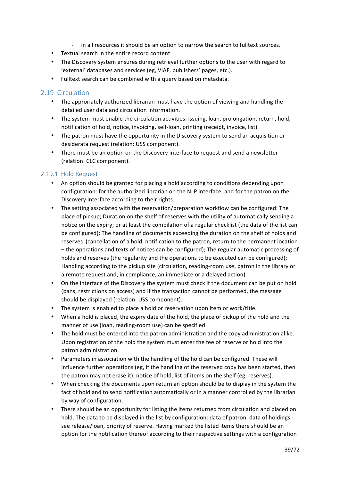- in all resources it should be an option to narrow the search to fulltext sources.
- Textual search in the entire record content
- The Discovery system ensures during retrieval further options to the user with regard to 'external' databases and services (eg, VIAF, publishers' pages, etc.).
- Fulltext search can be combined with a query based on metadata.

#### 2.19 Circulation

- The approriately authorized librarian must have the option of viewing and handling the detailed user data and circulation information.
- The system must enable the circulation activities: issuing, loan, prolongation, return, hold, notification of hold, notice, invoicing, self-loan, printing (receipt, invoice, list).
- The patron must have the opportunity in the Discovery system to send an acquisition or desiderata request (relation: USS component).
- There must be an option on the Discovery interface to request and send a newsletter (relation: CLC component).

#### 2.19.1 Hold Request

- An option should be granted for placing a hold according to conditions depending upon configuration: for the authorized librarian on the NLP interface, and for the patron on the Discovery interface according to their rights.
- The setting associated with the reservation/preparation workflow can be configured: The place of pickup; Duration on the shelf of reserves with the utility of automatically sending a notice on the expiry; or at least the compilation of a regular checklist (the data of the list can be configured); The handling of documents exceeding the duration on the shelf of holds and reserves (cancellation of a hold, notification to the patron, return to the permanent location – the operations and texts of notices can be configured); The regular automatic processing of holds and reserves (the regularity and the operations to be executed can be configured); Handling according to the pickup site (circulation, reading-room use, patron in the library or a remote request and, in compliance, an immediate or a delayed action).
- On the interface of the Discovery the system must check if the document can be put on hold (bans, restrictions on access) and if the transaction cannot be performed, the message should be displayed (relation: USS component).
- The system is enabled to place a hold or reservation upon item or work/title.
- When a hold is placed, the expiry date of the hold, the place of pickup of the hold and the manner of use (loan, reading-room use) can be specified.
- The hold must be entered into the patron administration and the copy administration alike. Upon registration of the hold the system must enter the fee of reserve or hold into the patron administration.
- Parameters in association with the handling of the hold can be configured. These will influence further operations (eg, if the handling of the reserved copy has been started, then the patron may not erase it); notice of hold, list of items on the shelf (eg, reserves).
- When checking the documents upon return an option should be to display in the system the fact of hold and to send notification automatically or in a manner controlled by the librarian by way of configuration.
- There should be an opportunity for listing the items returned from circulation and placed on hold. The data to be displayed in the list by configuration: data of patron, data of holdings see release/loan, priority of reserve. Having marked the listed items there should be an option for the notification thereof according to their respective settings with a configuration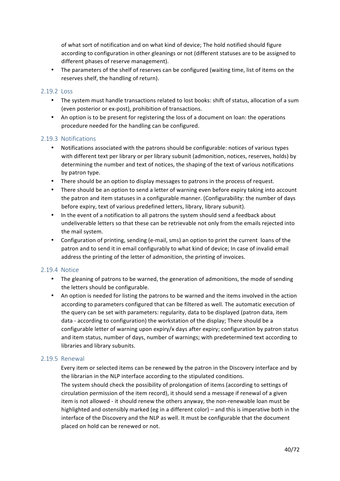of what sort of notification and on what kind of device; The hold notified should figure according to configuration in other gleanings or not (different statuses are to be assigned to different phases of reserve management).

• The parameters of the shelf of reserves can be configured (waiting time, list of items on the reserves shelf, the handling of return).

#### 2.19.2 Loss

- The system must handle transactions related to lost books: shift of status, allocation of a sum (even posterior or ex-post), prohibition of transactions.
- An option is to be present for registering the loss of a document on loan: the operations procedure needed for the handling can be configured.

#### 2.19.3 Notifications

- Notifications associated with the patrons should be configurable: notices of various types with different text per library or per library subunit (admonition, notices, reserves, holds) by determining the number and text of notices, the shaping of the text of various notifications by patron type.
- There should be an option to display messages to patrons in the process of request.
- There should be an option to send a letter of warning even before expiry taking into account the patron and item statuses in a configurable manner. (Configurability: the number of days before expiry, text of various predefined letters, library, library subunit).
- In the event of a notification to all patrons the system should send a feedback about undeliverable letters so that these can be retrievable not only from the emails rejected into the mail system.
- Configuration of printing, sending (e-mail, sms) an option to print the current loans of the patron and to send it in email configurably to what kind of device; In case of invalid email address the printing of the letter of admonition, the printing of invoices.

#### 2.19.4 Notice

- The gleaning of patrons to be warned, the generation of admonitions, the mode of sending the letters should be configurable.
- An option is needed for listing the patrons to be warned and the items involved in the action according to parameters configured that can be filtered as well. The automatic execution of the query can be set with parameters: regularity, data to be displayed (patron data, item data - according to configuration) the workstation of the display; There should be a configurable letter of warning upon expiry/x days after expiry; configuration by patron status and item status, number of days, number of warnings; with predetermined text according to libraries and library subunits.

#### 2.19.5 Renewal

Every item or selected items can be renewed by the patron in the Discovery interface and by the librarian in the NLP interface according to the stipulated conditions.

The system should check the possibility of prolongation of items (according to settings of circulation permission of the item record), it should send a message if renewal of a given item is not allowed - it should renew the others anyway, the non-renewable loan must be highlighted and ostensibly marked (eg in a different color) – and this is imperative both in the interface of the Discovery and the NLP as well. It must be configurable that the document placed on hold can be renewed or not.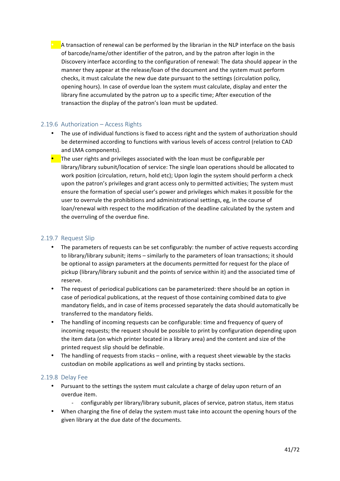**•** A transaction of renewal can be performed by the librarian in the NLP interface on the basis of barcode/name/other identifier of the patron, and by the patron after login in the Discovery interface according to the configuration of renewal: The data should appear in the manner they appear at the release/loan of the document and the system must perform checks, it must calculate the new due date pursuant to the settings (circulation policy, opening hours). In case of overdue loan the system must calculate, display and enter the library fine accumulated by the patron up to a specific time; After execution of the transaction the display of the patron's loan must be updated.

## 2.19.6 Authorization – Access Rights

- The use of individual functions is fixed to access right and the system of authorization should be determined according to functions with various levels of access control (relation to CAD and LMA components).
- The user rights and privileges associated with the loan must be configurable per library/library subunit/location of service: The single loan operations should be allocated to work position (circulation, return, hold etc); Upon login the system should perform a check upon the patron's privileges and grant access only to permitted activities; The system must ensure the formation of special user's power and privileges which makes it possible for the user to overrule the prohibitions and administrational settings, eg, in the course of loan/renewal with respect to the modification of the deadline calculated by the system and the overruling of the overdue fine.

#### 2.19.7 Request Slip

- The parameters of requests can be set configurably: the number of active requests according to library/library subunit; items - similarly to the parameters of loan transactions; it should be optional to assign parameters at the documents permitted for request for the place of pickup (library/library subunit and the points of service within it) and the associated time of reserve.
- The request of periodical publications can be parameterized: there should be an option in case of periodical publications, at the request of those containing combined data to give mandatory fields, and in case of items processed separately the data should automatically be transferred to the mandatory fields.
- The handling of incoming requests can be configurable: time and frequency of query of incoming requests; the request should be possible to print by configuration depending upon the item data (on which printer located in a library area) and the content and size of the printed request slip should be definable.
- The handling of requests from stacks online, with a request sheet viewable by the stacks custodian on mobile applications as well and printing by stacks sections.

#### 2.19.8 Delay Fee

- Pursuant to the settings the system must calculate a charge of delay upon return of an overdue item.
	- configurably per library/library subunit, places of service, patron status, item status
- When charging the fine of delay the system must take into account the opening hours of the given library at the due date of the documents.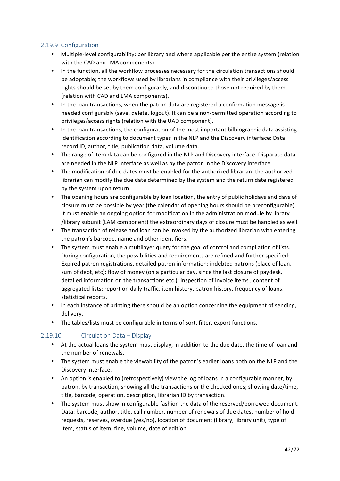## 2.19.9 Configuration

- Multiple-level configurability: per library and where applicable per the entire system (relation with the CAD and LMA components).
- In the function, all the workflow processes necessary for the circulation transactions should be adoptable; the workflows used by librarians in compliance with their privileges/access rights should be set by them configurably, and discontinued those not required by them. (relation with CAD and LMA components).
- In the loan transactions, when the patron data are registered a confirmation message is needed configurably (save, delete, logout). It can be a non-permitted operation according to privileges/access rights (relation with the UAD component).
- In the loan transactions, the configuration of the most important bilbiographic data assisting identification according to document types in the NLP and the Discovery interface: Data: record ID, author, title, publication data, volume data.
- The range of item data can be configured in the NLP and Discovery interface. Disparate data are needed in the NLP interface as well as by the patron in the Discovery interface.
- The modification of due dates must be enabled for the authorized librarian: the authorized librarian can modify the due date determined by the system and the return date registered by the system upon return.
- The opening hours are configurable by loan location, the entry of public holidays and days of closure must be possible by year (the calendar of opening hours should be preconfigurable). It must enable an ongoing option for modification in the administration module by library /library subunit (LAM component) the extraordinary days of closure must be handled as well.
- The transaction of release and loan can be invoked by the authorized librarian with entering the patron's barcode, name and other identifiers.
- The system must enable a multilayer query for the goal of control and compilation of lists. During configuration, the possibilities and requirements are refined and further specified: Expired patron registrations, detailed patron information; indebted patrons (place of loan, sum of debt, etc); flow of money (on a particular day, since the last closure of paydesk, detailed information on the transactions etc.); inspection of invoice items, content of aggregated lists: report on daily traffic, item history, patron history, frequency of loans, statistical reports.
- In each instance of printing there should be an option concerning the equipment of sending, delivery.
- The tables/lists must be configurable in terms of sort, filter, export functions.

#### 2.19.10 Circulation Data – Display

- At the actual loans the system must display, in addition to the due date, the time of loan and the number of renewals.
- The system must enable the viewability of the patron's earlier loans both on the NLP and the Discovery interface.
- An option is enabled to (retrospectively) view the log of loans in a configurable manner, by patron, by transaction, showing all the transactions or the checked ones; showing date/time, title, barcode, operation, description, librarian ID by transaction.
- The system must show in configurable fashion the data of the reserved/borrowed document. Data: barcode, author, title, call number, number of renewals of due dates, number of hold requests, reserves, overdue (yes/no), location of document (library, library unit), type of item, status of item, fine, volume, date of edition.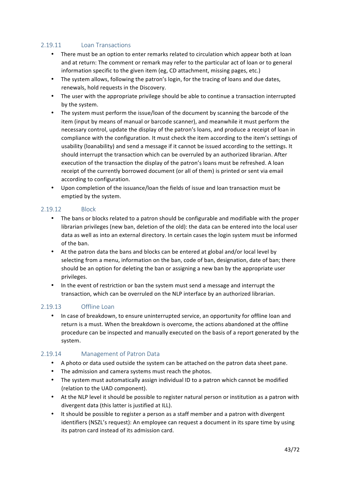## 2.19.11 Loan Transactions

- There must be an option to enter remarks related to circulation which appear both at loan and at return: The comment or remark may refer to the particular act of loan or to general information specific to the given item (eg, CD attachment, missing pages, etc.)
- The system allows, following the patron's login, for the tracing of loans and due dates, renewals, hold requests in the Discovery.
- The user with the appropriate privilege should be able to continue a transaction interrupted by the system.
- The system must perform the issue/loan of the document by scanning the barcode of the item (input by means of manual or barcode scanner), and meanwhile it must perform the necessary control, update the display of the patron's loans, and produce a receipt of loan in compliance with the configuration. It must check the item according to the item's settings of usability (loanability) and send a message if it cannot be issued according to the settings. It should interrupt the transaction which can be overruled by an authorized librarian. After execution of the transaction the display of the patron's loans must be refreshed. A loan receipt of the currently borrowed document (or all of them) is printed or sent via email according to configuration.
- Upon completion of the issuance/loan the fields of issue and loan transaction must be emptied by the system.

#### 2.19.12 Block

- The bans or blocks related to a patron should be configurable and modifiable with the proper librarian privileges (new ban, deletion of the old): the data can be entered into the local user data as well as into an external directory. In certain cases the login system must be informed of the ban.
- At the patron data the bans and blocks can be entered at global and/or local level by selecting from a menu, information on the ban, code of ban, designation, date of ban; there should be an option for deleting the ban or assigning a new ban by the appropriate user privileges.
- In the event of restriction or ban the system must send a message and interrupt the transaction, which can be overruled on the NLP interface by an authorized librarian.

#### 2.19.13 Offline Loan

• In case of breakdown, to ensure uninterrupted service, an opportunity for offline loan and return is a must. When the breakdown is overcome, the actions abandoned at the offline procedure can be inspected and manually executed on the basis of a report generated by the system.

#### 2.19.14 Management of Patron Data

- A photo or data used outside the system can be attached on the patron data sheet pane.
- The admission and camera systems must reach the photos.
- The system must automatically assign individual ID to a patron which cannot be modified (relation to the UAD component).
- At the NLP level it should be possible to register natural person or institution as a patron with divergent data (this latter is justified at ILL).
- It should be possible to register a person as a staff member and a patron with divergent identifiers (NSZL's request): An employee can request a document in its spare time by using its patron card instead of its admission card.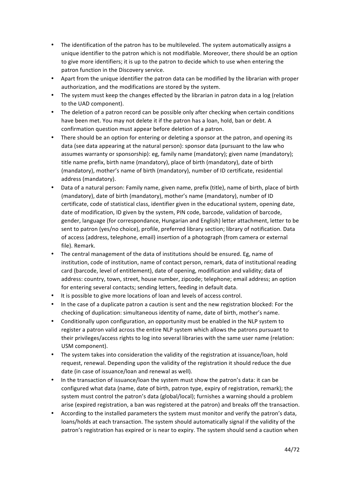- The identification of the patron has to be multileveled. The system automatically assigns a unique identifier to the patron which is not modifiable. Moreover, there should be an option to give more identifiers; it is up to the patron to decide which to use when entering the patron function in the Discovery service.
- Apart from the unique identifier the patron data can be modified by the librarian with proper authorization, and the modifications are stored by the system.
- The system must keep the changes effected by the librarian in patron data in a log (relation to the UAD component).
- The deletion of a patron record can be possible only after checking when certain conditions have been met. You may not delete it if the patron has a loan, hold, ban or debt. A confirmation question must appear before deletion of a patron.
- There should be an option for entering or deleting a sponsor at the patron, and opening its data (see data appearing at the natural person): sponsor data (pursuant to the law who assumes warranty or sponsorship): eg, family name (mandatory); given name (mandatory); title name prefix, birth name (mandatory), place of birth (mandatory), date of birth (mandatory), mother's name of birth (mandatory), number of ID certificate, residential address (mandatory).
- Data of a natural person: Family name, given name, prefix (title), name of birth, place of birth (mandatory), date of birth (mandatory), mother's name (mandatory), number of ID certificate, code of statistical class, identifier given in the educational system, opening date, date of modification, ID given by the system, PIN code, barcode, validation of barcode, gender, language (for correspondance, Hungarian and English) letter attachment, letter to be sent to patron (yes/no choice), profile, preferred library section; library of notification. Data of access (address, telephone, email) insertion of a photograph (from camera or external file). Remark.
- The central management of the data of institutions should be ensured. Eg, name of institution, code of institution, name of contact person, remark, data of institutional reading card (barcode, level of entitlement), date of opening, modification and validity; data of address: country, town, street, house number, zipcode; telephone; email address; an option for entering several contacts; sending letters, feeding in default data.
- It is possible to give more locations of loan and levels of access control.
- In the case of a duplicate patron a caution is sent and the new registration blocked: For the checking of duplication: simultaneous identity of name, date of birth, mother's name.
- Conditionally upon configuration, an opportunity must be enabled in the NLP system to register a patron valid across the entire NLP system which allows the patrons pursuant to their privileges/access rights to log into several libraries with the same user name (relation: USM component).
- The system takes into consideration the validity of the registration at issuance/loan, hold request, renewal. Depending upon the validity of the registration it should reduce the due date (in case of issuance/loan and renewal as well).
- In the transaction of issuance/loan the system must show the patron's data: it can be configured what data (name, date of birth, patron type, expiry of registration, remark); the system must control the patron's data (global/local); furnishes a warning should a problem arise (expired registration, a ban was registered at the patron) and breaks off the transaction.
- According to the installed parameters the system must monitor and verify the patron's data, loans/holds at each transaction. The system should automatically signal if the validity of the patron's registration has expired or is near to expiry. The system should send a caution when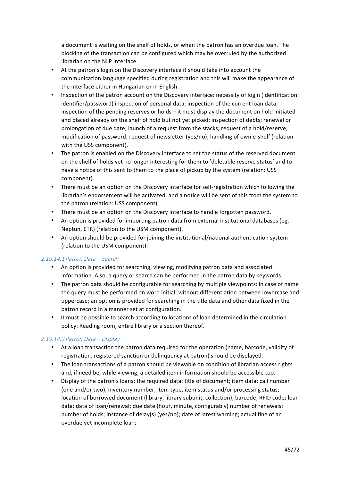a document is waiting on the shelf of holds, or when the patron has an overdue loan. The blocking of the transaction can be configured which may be overruled by the authorized librarian on the NLP interface.

- At the patron's login on the Discovery interface it should take into account the communication language specified during registration and this will make the appearance of the interface either in Hungarian or in English.
- Inspection of the patron account on the Discovery interface: necessity of login (identification: identifier/password) inspection of personal data; inspection of the current loan data; inspection of the pending reserves or holds  $-$  it must display the document on hold initiated and placed already on the shelf of hold but not yet picked; inspection of debts; renewal or prolongation of due date; launch of a request from the stacks; request of a hold/reserve; modification of password; request of newsletter (yes/no); handling of own e-shelf (relation with the USS component).
- The patron is enabled on the Discovery interface to set the status of the reserved document on the shelf of holds yet no longer interesting for them to 'deletable reserve status' and to have a notice of this sent to them to the place of pickup by the system (relation: USS component).
- There must be an option on the Discovery interface for self-registration which following the librarian's endorsement will be activated, and a notice will be sent of this from the system to the patron (relation: USS component).
- There must be an option on the Discovery interface to handle forgotten password.
- An option is provided for importing patron data from external institutional databases (eg, Neptun, ETR) (relation to the USM component).
- An option should be provided for joining the institutional/national authentication system (relation to the USM component).

## 2.19.14.1 Patron Data – Search

- An option is provided for searching, viewing, modifying patron data and associated information. Also, a query or search can be performed in the patron data by keywords.
- The patron data should be configurable for searching by multiple viewpoints: in case of name the query must be performed on word initial, without differentiation between lowercase and uppercase; an option is provided for searching in the title data and other data fixed in the patron record in a manner set at configuration.
- It must be possible to search according to locations of loan determined in the circulation policy: Reading room, entire library or a section thereof.

#### 2.19.14.2 Patron Data – Display

- At a loan transaction the patron data required for the operation (name, barcode, validity of registration, registered sanction or delinquency at patron) should be displayed.
- The loan transactions of a patron should be viewable on condition of librarian access rights and, if need be, while viewing, a detailed item information should be accessible too.
- Display of the patron's loans: the required data: title of document; item data: call number (one and/or two), inventory number, item type, item status and/or processing status; location of borrowed document (library, library subunit, collection); barcode; RFID code; loan data: data of loan/renewal; due date (hour, minute, configurably) number of renewals; number of holds; instance of delay(s) (yes/no); date of latest warning; actual fine of an overdue yet incomplete loan;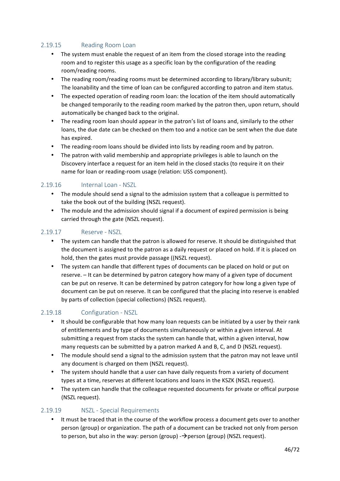## 2.19.15 Reading Room Loan

- The system must enable the request of an item from the closed storage into the reading room and to register this usage as a specific loan by the configuration of the reading room/reading rooms.
- The reading room/reading rooms must be determined according to library/library subunit; The loanability and the time of loan can be configured according to patron and item status.
- The expected operation of reading room loan: the location of the item should automatically be changed temporarily to the reading room marked by the patron then, upon return, should automatically be changed back to the original.
- The reading room loan should appear in the patron's list of loans and, similarly to the other loans, the due date can be checked on them too and a notice can be sent when the due date has expired.
- The reading-room loans should be divided into lists by reading room and by patron.
- The patron with valid membership and appropriate privileges is able to launch on the Discovery interface a request for an item held in the closed stacks (to require it on their name for loan or reading-room usage (relation: USS component).

#### 2.19.16 Internal Loan - NSZL

- The module should send a signal to the admission system that a colleague is permitted to take the book out of the building (NSZL request).
- The module and the admission should signal if a document of expired permission is being carried through the gate (NSZL request).

#### 2.19.17 Reserve - NSZL

- The system can handle that the patron is allowed for reserve. It should be distinguished that the document is assigned to the patron as a daily request or placed on hold. If it is placed on hold, then the gates must provide passage ((NSZL request).
- The system can handle that different types of documents can be placed on hold or put on reserve.  $-$  It can be determined by patron category how many of a given type of document can be put on reserve. It can be determined by patron category for how long a given type of document can be put on reserve. It can be configured that the placing into reserve is enabled by parts of collection (special collections) (NSZL request).

#### 2.19.18 Configuration - NSZL

- It should be configurable that how many loan requests can be initiated by a user by their rank of entitlements and by type of documents simultaneously or within a given interval. At submitting a request from stacks the system can handle that, within a given interval, how many requests can be submitted by a patron marked A and B, C, and D (NSZL request).
- The module should send a signal to the admission system that the patron may not leave until any document is charged on them (NSZL request).
- The system should handle that a user can have daily requests from a variety of document types at a time, reserves at different locations and loans in the KSZK (NSZL request).
- The system can handle that the colleague requested documents for private or offical purpose (NSZL request).

#### 2.19.19 NSZL - Special Requirements

• It must be traced that in the course of the workflow process a document gets over to another person (group) or organization. The path of a document can be tracked not only from person to person, but also in the way: person (group)  $-\rightarrow$  person (group) (NSZL request).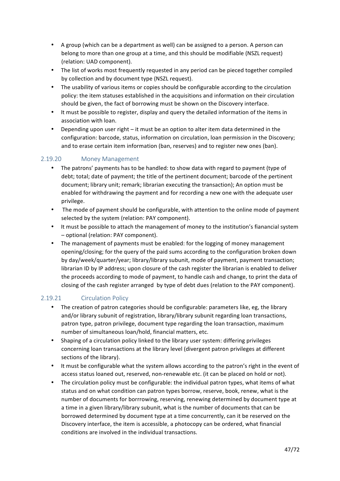- A group (which can be a department as well) can be assigned to a person. A person can belong to more than one group at a time, and this should be modifiable (NSZL request) (relation: UAD component).
- The list of works most frequently requested in any period can be pieced together compiled by collection and by document type (NSZL request).
- The usability of various items or copies should be configurable according to the circulation policy: the item statuses established in the acquisitions and information on their circulation should be given, the fact of borrowing must be shown on the Discovery interface.
- It must be possible to register, display and query the detailed information of the items in association with loan.
- Depending upon user right it must be an option to alter item data determined in the configuration: barcode, status, information on circulation, loan permission in the Discovery; and to erase certain item information (ban, reserves) and to register new ones (ban).

## 2.19.20 Money Management

- The patrons' payments has to be handled: to show data with regard to payment (type of debt; total; date of payment; the title of the pertinent document; barcode of the pertinent document; library unit; remark; librarian executing the transaction); An option must be enabled for withdrawing the payment and for recording a new one with the adequate user privilege.
- The mode of payment should be configurable, with attention to the online mode of payment selected by the system (relation: PAY component).
- It must be possible to attach the management of money to the institution's fianancial system – optional (relation: PAY component).
- The management of payments must be enabled: for the logging of money management opening/closing; for the query of the paid sums according to the configuration broken down by day/week/quarter/year; library/library subunit, mode of payment, payment transaction; librarian ID by IP address; upon closure of the cash register the librarian is enabled to deliver the proceeds according to mode of payment, to handle cash and change, to print the data of closing of the cash register arranged by type of debt dues (relation to the PAY component).

#### 2.19.21 Circulation Policy

- The creation of patron categories should be configurable: parameters like, eg, the library and/or library subunit of registration, library/library subunit regarding loan transactions, patron type, patron privilege, document type regarding the loan transaction, maximum number of simultaneous loan/hold, financial matters, etc.
- Shaping of a circulation policy linked to the library user system: differing privileges concerning loan transactions at the library level (divergent patron privileges at different sections of the library).
- It must be configurable what the system allows according to the patron's right in the event of access status loaned out, reserved, non-renewable etc. (it can be placed on hold or not).
- The circulation policy must be configurable: the individual patron types, what items of what status and on what condition can patron types borrow, reserve, book, renew, what is the number of documents for borrrowing, reserving, renewing determined by document type at a time in a given library/library subunit, what is the number of documents that can be borrowed determined by document type at a time concurrently, can it be reserved on the Discovery interface, the item is accessible, a photocopy can be ordered, what financial conditions are involved in the individual transactions.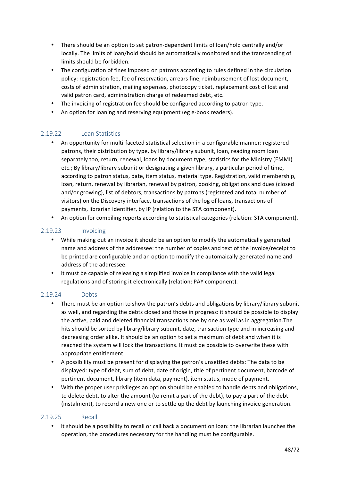- There should be an option to set patron-dependent limits of loan/hold centrally and/or locally. The limits of loan/hold should be automatically monitored and the transcending of limits should be forbidden.
- The configuration of fines imposed on patrons according to rules defined in the circulation policy: registration fee, fee of reservation, arrears fine, reimbursement of lost document, costs of administration, mailing expenses, photocopy ticket, replacement cost of lost and valid patron card, administration charge of redeemed debt, etc.
- The invoicing of registration fee should be configured according to patron type.
- An option for loaning and reserving equipment (eg e-book readers).

## 2.19.22 Loan Statistics

- An opportunity for multi-faceted statistical selection in a configurable manner: registered patrons, their distribution by type, by library/library subunit, loan, reading room loan separately too, return, renewal, loans by document type, statistics for the Ministry (EMMI) etc.; By library/library subunit or designating a given library, a particular period of time, according to patron status, date, item status, material type. Registration, valid membership, loan, return, renewal by librarian, renewal by patron, booking, obligations and dues (closed and/or growing), list of debtors, transactions by patrons (registered and total number of visitors) on the Discovery interface, transactions of the log of loans, transactions of payments, librarian identifier, by IP (relation to the STA component).
- An option for compiling reports according to statistical categories (relation: STA component).

## 2.19.23 Invoicing

- While making out an invoice it should be an option to modify the automatically generated name and address of the addressee: the number of copies and text of the invoice/receipt to be printed are configurable and an option to modify the automaically generated name and address of the addressee.
- It must be capable of releasing a simplified invoice in compliance with the valid legal regulations and of storing it electronically (relation: PAY component).

## 2.19.24 Debts

- There must be an option to show the patron's debts and obligations by library/library subunit as well, and regarding the debts closed and those in progress: it should be possible to display the active, paid and deleted financial transactions one by one as well as in aggregation. The hits should be sorted by library/library subunit, date, transaction type and in increasing and decreasing order alike. It should be an option to set a maximum of debt and when it is reached the system will lock the transactions. It must be possible to overwrite these with appropriate entitlement.
- A possibility must be present for displaying the patron's unsettled debts: The data to be displayed: type of debt, sum of debt, date of origin, title of pertinent document, barcode of pertinent document, library (item data, payment), item status, mode of payment.
- With the proper user privileges an option should be enabled to handle debts and obligations, to delete debt, to alter the amount (to remit a part of the debt), to pay a part of the debt (instalment), to record a new one or to settle up the debt by launching invoice generation.

#### 2.19.25 Recall

• It should be a possibility to recall or call back a document on loan: the librarian launches the operation, the procedures necessary for the handling must be configurable.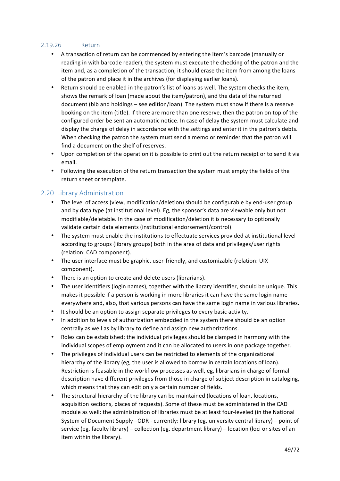#### 2.19.26 Return

- A transaction of return can be commenced by entering the item's barcode (manually or reading in with barcode reader), the system must execute the checking of the patron and the item and, as a completion of the transaction, it should erase the item from among the loans of the patron and place it in the archives (for displaying earlier loans).
- Return should be enabled in the patron's list of loans as well. The system checks the item, shows the remark of loan (made about the item/patron), and the data of the returned document (bib and holdings – see edition/loan). The system must show if there is a reserve booking on the item (title). If there are more than one reserve, then the patron on top of the configured order be sent an automatic notice. In case of delay the system must calculate and display the charge of delay in accordance with the settings and enter it in the patron's debts. When checking the patron the system must send a memo or reminder that the patron will find a document on the shelf of reserves.
- Upon completion of the operation it is possible to print out the return receipt or to send it via email.
- Following the execution of the return transaction the system must empty the fields of the return sheet or template.

## 2.20 Library Administration

- The level of access (view, modification/deletion) should be configurable by end-user group and by data type (at institutional level). Eg, the sponsor's data are viewable only but not modifiable/deletable. In the case of modification/deletion it is necessary to optionally validate certain data elements (institutional endorsement/control).
- The system must enable the institutions to effectuate services provided at institutional level according to groups (library groups) both in the area of data and privileges/user rights (relation: CAD component).
- The user interface must be graphic, user-friendly, and customizable (relation: UIX component).
- There is an option to create and delete users (librarians).
- The user identifiers (login names), together with the library identifier, should be unique. This makes it possible if a person is working in more libraries it can have the same login name everywhere and, also, that various persons can have the same login name in various libraries.
- It should be an option to assign separate privileges to every basic activity.
- In addition to levels of authorization embedded in the system there should be an option centrally as well as by library to define and assign new authorizations.
- Roles can be established: the individual privileges should be clamped in harmony with the individual scopes of employment and it can be allocated to users in one package together.
- The privileges of individual users can be restricted to elements of the organizational hierarchy of the library (eg, the user is allowed to borrow in certain locations of loan). Restriction is feasable in the workflow processes as well, eg, librarians in charge of formal description have different privileges from those in charge of subject description in cataloging, which means that they can edit only a certain number of fields.
- The structural hierarchy of the library can be maintained (locations of loan, locations, acquisition sections, places of requests). Some of these must be administered in the CAD module as well: the administration of libraries must be at least four-leveled (in the National System of Document Supply -ODR - currently: library (eg, university central library) - point of service  $(eg, faculty library) - collection (eg, department library) - location (loci or sites of an$ item within the library).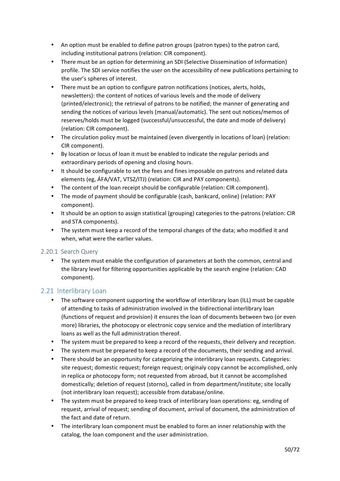- An option must be enabled to define patron groups (patron types) to the patron card, including institutional patrons (relation: CIR component).
- There must be an option for determining an SDI (Selective Dissemination of Information) profile. The SDI service notifies the user on the accessibility of new publications pertaining to the user's spheres of interest.
- There must be an option to configure patron notifications (notices, alerts, holds, newsletters): the content of notices of various levels and the mode of delivery (printed/electronic); the retrieval of patrons to be notified; the manner of generating and sending the notices of various levels (manual/automatic). The sent out notices/memos of reserves/holds must be logged (successful/unsuccessful, the date and mode of delivery) (relation: CIR component).
- The circulation policy must be maintained (even divergently in locations of loan) (relation: CIR component).
- By location or locus of loan it must be enabled to indicate the regular periods and extraordinary periods of opening and closing hours.
- It should be configurable to set the fees and fines imposable on patrons and related data elements (eg. AFA/VAT, VTSZ/ITJ) (relation: CIR and PAY components).
- The content of the loan receipt should be configurable (relation: CIR component).
- The mode of payment should be configurable (cash, bankcard, online) (relation: PAY component).
- It should be an option to assign statistical (grouping) categories to the-patrons (relation: CIR and STA components).
- The system must keep a record of the temporal changes of the data; who modified it and when, what were the earlier values.

## 2.20.1 Search Query

• The system must enable the configuration of parameters at both the common, central and the library level for filtering opportunities applicable by the search engine (relation: CAD component).

## 2.21 Interlibrary Loan

- The software component supporting the workflow of interlibrary loan (ILL) must be capable of attending to tasks of administration involved in the bidirectional interlibrary loan (functions of request and provision) it ensures the loan of documents between two (or even more) libraries, the photocopy or electronic copy service and the mediation of interlibrary loans as well as the full administration thereof.
- The system must be prepared to keep a record of the requests, their delivery and reception.
- The system must be prepared to keep a record of the documents, their sending and arrival.
- There should be an opportunity for categorizing the interlibrary loan requests. Categories: site request; domestic request; foreign request; originaly copy cannot be accomplished, only in replica or photocopy form; not requested from abroad, but it cannot be accomplished domestically; deletion of request (storno), called in from department/institute; site locally (not interlibrary loan request); accessible from database/online.
- The system must be prepared to keep track of interlibrary loan operations: eg, sending of request, arrival of request; sending of document, arrival of document, the administration of the fact and date of return.
- The interlibrary loan component must be enabled to form an inner relationship with the catalog, the loan component and the user administration.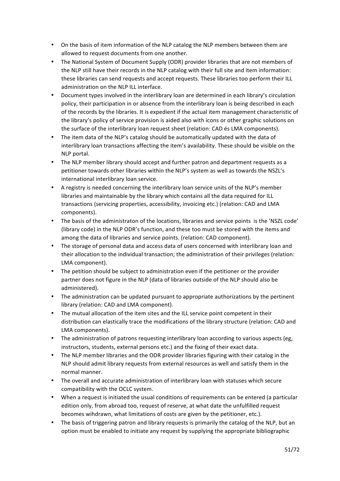- On the basis of item information of the NLP catalog the NLP members between them are allowed to request documents from one another.
- The National System of Document Supply (ODR) provider libraries that are not members of the NLP still have their records in the NLP catalog with their full site and item information: these libraries can send requests and accept requests. These libraries too perform their ILL administration on the NLP ILL interface.
- Document types involved in the interlibrary loan are determined in each library's circulation policy, their participation in or absence from the interlibrary loan is being described in each of the records by the libraries. It is expedient if the actual item management characteristic of the library's policy of service provision is aided also with icons or other graphic solutions on the surface of the interlibrary loan request sheet (relation: CAD és LMA components).
- The item data of the NLP's catalog should be automatically updated with the data of interlibrary loan transactions affecting the item's availability. These should be visible on the NLP portal.
- The NLP member library should accept and further patron and department requests as a petitioner towards other libraries within the NLP's system as well as towards the NSZL's international interlibrary loan service.
- A registry is needed concerning the interlibrary loan service units of the NLP's member libraries and maintainable by the library which contains all the data required for ILL transactions (servicing properties, accessibility, invoicing etc.) (relation: CAD and LMA components).
- The basis of the administraton of the locations, libraries and service points is the 'NSZL code' (library code) in the NLP ODR's function, and these too must be stored with the items and among the data of libraries and service points. (relation: CAD component).
- The storage of personal data and access data of users concerned with interlibrary loan and their allocation to the individual transaction; the administration of their privileges (relation: LMA component).
- The petition should be subject to administration even if the petitioner or the provider partner does not figure in the NLP (data of libraries outside of the NLP should also be administered).
- The administration can be updated pursuant to appropriate authorizations by the pertinent library (relation: CAD and LMA component).
- The mutual allocation of the item sites and the ILL service point competent in their distribution can elastically trace the modifications of the library structure (relation: CAD and LMA components).
- The administration of patrons requesting interlibrary loan according to various aspects (eg, instructors, students, external persons etc.) and the fixing of their exact data.
- The NLP member libraries and the ODR provider libraries figuring with their catalog in the NLP should admit library requests from external resources as well and satisfy them in the normal manner.
- The overall and accurate administration of interlibrary loan with statuses which secure compatibility with the OCLC system.
- When a request is initiated the usual conditions of requirements can be entered (a particular edition only, from abroad too, request of reserve, at what date the unfulfilled request becomes wihdrawn, what limitations of costs are given by the petitioner, etc.).
- The basis of triggering patron and library requests is primarily the catalog of the NLP, but an option must be enabled to initiate any request by supplying the appropriate bibliographic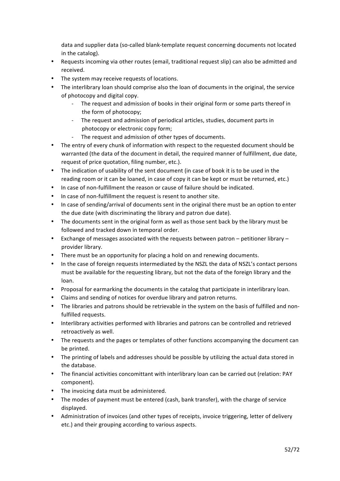data and supplier data (so-called blank-template request concerning documents not located in the catalog).

- Requests incoming via other routes (email, traditional request slip) can also be admitted and received.
- The system may receive requests of locations.
- The interlibrary loan should comprise also the loan of documents in the original, the service of photocopy and digital copy.
	- The request and admission of books in their original form or some parts thereof in the form of photocopy;
	- The request and admission of periodical articles, studies, document parts in photocopy or electronic copy form;
	- The request and admission of other types of documents.
- The entry of every chunk of information with respect to the requested document should be warranted (the data of the document in detail, the required manner of fulfillment, due date, request of price quotation, filing number, etc.).
- The indication of usability of the sent document (in case of book it is to be used in the reading room or it can be loaned, in case of copy it can be kept or must be returned, etc.)
- In case of non-fulfillment the reason or cause of failure should be indicated.
- In case of non-fulfillment the request is resent to another site.
- In case of sending/arrival of documents sent in the original there must be an option to enter the due date (with discriminating the library and patron due date).
- The documents sent in the original form as well as those sent back by the library must be followed and tracked down in temporal order.
- Exchange of messages associated with the requests between patron petitioner library provider library.
- There must be an opportunity for placing a hold on and renewing documents.
- In the case of foreign requests intermediated by the NSZL the data of NSZL's contact persons must be available for the requesting library, but not the data of the foreign library and the loan.
- Proposal for earmarking the documents in the catalog that participate in interlibrary loan.
- Claims and sending of notices for overdue library and patron returns.
- The libraries and patrons should be retrievable in the system on the basis of fulfilled and nonfulfilled requests.
- Interlibrary activities performed with libraries and patrons can be controlled and retrieved retroactively as well.
- The requests and the pages or templates of other functions accompanying the document can be printed.
- The printing of labels and addresses should be possible by utilizing the actual data stored in the database.
- The financial activities concomittant with interlibrary loan can be carried out (relation: PAY component).
- The invoicing data must be administered.
- The modes of payment must be entered (cash, bank transfer), with the charge of service displayed.
- Administration of invoices (and other types of receipts, invoice triggering, letter of delivery etc.) and their grouping according to various aspects.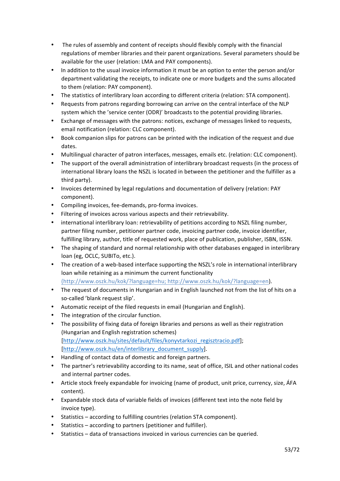- The rules of assembly and content of receipts should flexibly comply with the financial regulations of member libraries and their parent organizations. Several parameters should be available for the user (relation: LMA and PAY components).
- In addition to the usual invoice information it must be an option to enter the person and/or department validating the receipts, to indicate one or more budgets and the sums allocated to them (relation: PAY component).
- The statistics of interlibrary loan according to different criteria (relation: STA component).
- Requests from patrons regarding borrowing can arrive on the central interface of the NLP system which the 'service center (ODR)' broadcasts to the potential providing libraries.
- Exchange of messages with the patrons: notices, exchange of messages linked to requests, email notification (relation: CLC component).
- Book companion slips for patrons can be printed with the indication of the request and due dates.
- Multilingual character of patron interfaces, messages, emails etc. (relation: CLC component).
- The support of the overall administration of interlibrary broadcast requests (in the process of international library loans the NSZL is located in between the petitioner and the fulfiller as a third party).
- Invoices determined by legal regulations and documentation of delivery (relation: PAY component).
- Compiling invoices, fee-demands, pro-forma invoices.
- Filtering of invoices across various aspects and their retrievability.
- international interlibrary loan: retrievability of petitions according to NSZL filing number, partner filing number, petitioner partner code, invoicing partner code, invoice identifier, fulfilling library, author, title of requested work, place of publication, publisher, ISBN, ISSN.
- The shaping of standard and normal relationship with other databases engaged in interlibrary loan (eg, OCLC, SUBITo, etc.).
- The creation of a web-based interface supporting the NSZL's role in international interlibrary loan while retaining as a minimum the current functionality (http://www.oszk.hu/kok/?language=hu; http://www.oszk.hu/kok/?language=en).
- The request of documents in Hungarian and in English launched not from the list of hits on a so-called 'blank request slip'.
- Automatic receipt of the filed requests in email (Hungarian and English).
- The integration of the circular function.
- The possibility of fixing data of foreign libraries and persons as well as their registration (Hungarian and English registration schemes) [http://www.oszk.hu/sites/default/files/konyvtarkozi\_regisztracio.pdf]; [http://www.oszk.hu/en/interlibrary\_document\_supply].
- Handling of contact data of domestic and foreign partners.
- The partner's retrievability according to its name, seat of office, ISIL and other national codes and internal partner codes.
- Article stock freely expandable for invoicing (name of product, unit price, currency, size, ÁFA content).
- Expandable stock data of variable fields of invoices (different text into the note field by invoice type).
- Statistics according to fulfilling countries (relation STA component).
- Statistics according to partners (petitioner and fulfiller).
- Statistics data of transactions invoiced in various currencies can be queried.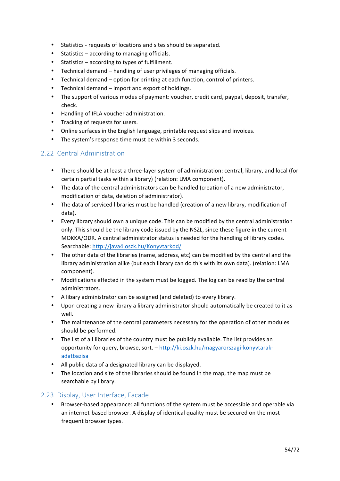- Statistics requests of locations and sites should be separated.
- Statistics  $-$  according to managing officials.
- Statistics according to types of fulfillment.
- Technical demand handling of user privileges of managing officials.
- Technical demand option for printing at each function, control of printers.
- Technical demand import and export of holdings.
- The support of various modes of payment: voucher, credit card, paypal, deposit, transfer, check.
- Handling of IFLA voucher administration.
- Tracking of requests for users.
- Online surfaces in the English language, printable request slips and invoices.
- The system's response time must be within 3 seconds.

## 2.22 Central Administration

- There should be at least a three-layer system of administration: central, library, and local (for certain partial tasks within a library) (relation: LMA component).
- The data of the central administrators can be handled (creation of a new administrator, modification of data, deletion of administrator).
- The data of serviced libraries must be handled (creation of a new library, modification of data).
- Every library should own a unique code. This can be modified by the central administration only. This should be the library code issued by the NSZL, since these figure in the current MOKKA/ODR. A central administrator status is needed for the handling of library codes. Searchable: http://java4.oszk.hu/Konyvtarkod/
- The other data of the libraries (name, address, etc) can be modified by the central and the library administration alike (but each library can do this with its own data). (relation: LMA component).
- Modifications effected in the system must be logged. The log can be read by the central administrators.
- A libary administrator can be assigned (and deleted) to every library.
- Upon creating a new library a library administrator should automatically be created to it as well.
- The maintenance of the central parameters necessary for the operation of other modules should be performed.
- The list of all libraries of the country must be publicly available. The list provides an opportunity for query, browse, sort. – http://ki.oszk.hu/magyarorszagi-konyytarakadatbazisa
- All public data of a designated library can be displayed.
- The location and site of the libraries should be found in the map, the map must be searchable by library.

## 2.23 Display, User Interface, Facade

Browser-based appearance: all functions of the system must be accessible and operable via an internet-based browser. A display of identical quality must be secured on the most frequent browser types.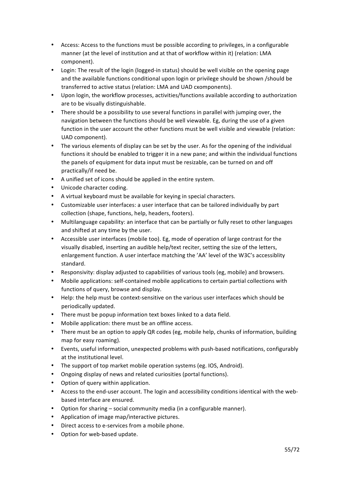- Access: Access to the functions must be possible according to privileges, in a configurable manner (at the level of institution and at that of workflow within it) (relation: LMA component).
- Login: The result of the login (logged-in status) should be well visible on the opening page and the available functions conditional upon login or privilege should be shown /should be transferred to active status (relation: LMA and UAD cxomponents).
- Upon login, the workflow processes, activities/functions available according to authorization are to be visually distinguishable.
- There should be a possibility to use several functions in parallel with jumping over, the navigation between the functions should be well viewable. Eg, during the use of a given function in the user account the other functions must be well visible and viewable (relation: UAD component).
- The various elements of display can be set by the user. As for the opening of the individual functions it should be enabled to trigger it in a new pane; and within the individual functions the panels of equipment for data input must be resizable, can be turned on and off practically/if need be.
- A unified set of icons should be applied in the entire system.
- Unicode character coding.
- A virtual keyboard must be available for keying in special characters.
- Customizable user interfaces: a user interface that can be tailored individually by part collection (shape, functions, help, headers, footers).
- Multilanguage capability: an interface that can be partially or fully reset to other languages and shifted at any time by the user.
- Accessible user interfaces (mobile too). Eg, mode of operation of large contrast for the visually disabled, inserting an audible help/text reciter, setting the size of the letters, enlargement function. A user interface matching the 'AA' level of the W3C's accessiblity standard.
- Responsivity: display adjusted to capabilities of various tools (eg. mobile) and browsers.
- Mobile applications: self-contained mobile applications to certain partial collections with functions of query, browse and display.
- Help: the help must be context-sensitive on the various user interfaces which should be periodically updated.
- There must be popup information text boxes linked to a data field.
- Mobile application: there must be an offline access.
- There must be an option to apply QR codes (eg, mobile help, chunks of information, building map for easy roaming).
- Events, useful information, unexpected problems with push-based notifications, configurably at the institutional level.
- The support of top market mobile operation systems (eg. IOS, Android).
- Ongoing display of news and related curiosities (portal functions).
- Option of query within application.
- Access to the end-user account. The login and accessibility conditions identical with the webbased interface are ensured.
- Option for sharing social community media (in a configurable manner).
- Application of image map/interactive pictures.
- Direct access to e-services from a mobile phone.
- Option for web-based update.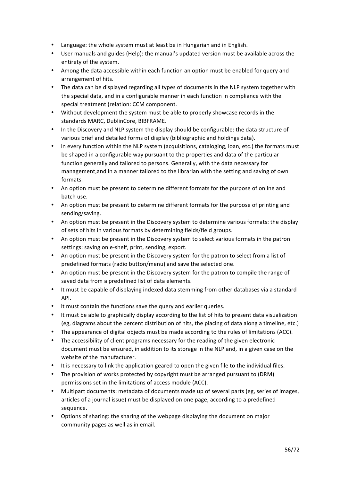- Language: the whole system must at least be in Hungarian and in English.
- User manuals and guides (Help): the manual's updated version must be available across the entirety of the system.
- Among the data accessible within each function an option must be enabled for query and arrangement of hits.
- The data can be displayed regarding all types of documents in the NLP system together with the special data, and in a configurable manner in each function in compliance with the special treatment (relation: CCM component.
- Without development the system must be able to properly showcase records in the standards MARC, DublinCore, BIBFRAME.
- In the Discovery and NLP system the display should be configurable: the data structure of various brief and detailed forms of display (bibliographic and holdings data).
- In every function within the NLP system (acquisitions, cataloging, loan, etc.) the formats must be shaped in a configurable way pursuant to the properties and data of the particular function generally and tailored to persons. Generally, with the data necessary for management,and in a manner tailored to the librarian with the setting and saving of own formats.
- An option must be present to determine different formats for the purpose of online and batch use.
- An option must be present to determine different formats for the purpose of printing and sending/saving.
- An option must be present in the Discovery system to determine various formats: the display of sets of hits in various formats by determining fields/field groups.
- An option must be present in the Discovery system to select various formats in the patron settings: saving on e-shelf, print, sending, export.
- An option must be present in the Discovery system for the patron to select from a list of predefined formats (radio button/menu) and save the selected one.
- An option must be present in the Discovery system for the patron to compile the range of saved data from a predefined list of data elements.
- It must be capable of displaying indexed data stemming from other databases via a standard API.
- It must contain the functions save the query and earlier queries.
- It must be able to graphically display according to the list of hits to present data visualization (eg, diagrams about the percent distribution of hits, the placing of data along a timeline, etc.)
- The appearance of digital objects must be made according to the rules of limitations (ACC).
- The accessibility of client programs necessary for the reading of the given electronic document must be ensured, in addition to its storage in the NLP and, in a given case on the website of the manufacturer.
- It is necessary to link the application geared to open the given file to the individual files.
- The provision of works protected by copyright must be arranged pursuant to (DRM) permissions set in the limitations of access module (ACC).
- Multipart documents: metadata of documents made up of several parts (eg, series of images, articles of a journal issue) must be displayed on one page, according to a predefined sequence.
- Options of sharing: the sharing of the webpage displaying the document on major community pages as well as in email.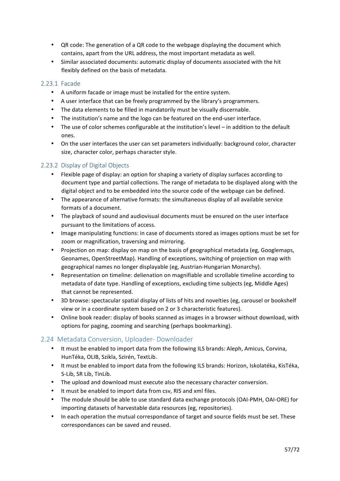- QR code: The generation of a QR code to the webpage displaying the document which contains, apart from the URL address, the most important metadata as well.
- Similar associated documents: automatic display of documents associated with the hit flexibly defined on the basis of metadata.

## 2.23.1 Facade

- A uniform facade or image must be installed for the entire system.
- A user interface that can be freely programmed by the library's programmers.
- The data elements to be filled in mandatorily must be visually discernable.
- The institution's name and the logo can be featured on the end-user interface.
- The use of color schemes configurable at the institution's level in addition to the default ones.
- On the user interfaces the user can set parameters individually: background color, character size, character color, perhaps character style.

## 2.23.2 Display of Digital Objects

- Flexible page of display: an option for shaping a variety of display surfaces according to document type and partial collections. The range of metadata to be displayed along with the digital object and to be embedded into the source code of the webpage can be defined.
- The appearance of alternative formats: the simultaneous display of all available service formats of a document.
- The playback of sound and audiovisual documents must be ensured on the user interface pursuant to the limitations of access.
- Image manipulating functions: in case of documents stored as images options must be set for zoom or magnification, traversing and mirroring.
- Projection on map: display on map on the basis of geographical metadata (eg, Googlemaps, Geonames, OpenStreetMap). Handling of exceptions, switching of projection on map with geographical names no longer displayable (eg, Austrian-Hungarian Monarchy).
- Representation on timeline: delienation on magnifiable and scrollable timeline according to metadata of date type. Handling of exceptions, excluding time subjects (eg, Middle Ages) that cannot be represented.
- 3D browse: spectacular spatial display of lists of hits and novelties (eg, carousel or bookshelf view or in a coordinate system based on 2 or 3 characteristic features).
- Online book reader: display of books scanned as images in a browser without download, with options for paging, zooming and searching (perhaps bookmarking).

## 2.24 Metadata Conversion, Uploader- Downloader

- It must be enabled to import data from the following ILS brands: Aleph, Amicus, Corvina, HunTéka, OLIB, Szikla, Szirén, TextLib.
- It must be enabled to import data from the following ILS brands: Horizon, Iskolatéka, KisTéka, S-Lib, SR Lib, TinLib.
- The upload and download must execute also the necessary character conversion.
- It must be enabled to import data from csv, RIS and xml files.
- The module should be able to use standard data exchange protocols (OAI-PMH, OAI-ORE) for importing datasets of harvestable data resources (eg, repositories).
- In each operation the mutual correspondance of target and source fields must be set. These correspondances can be saved and reused.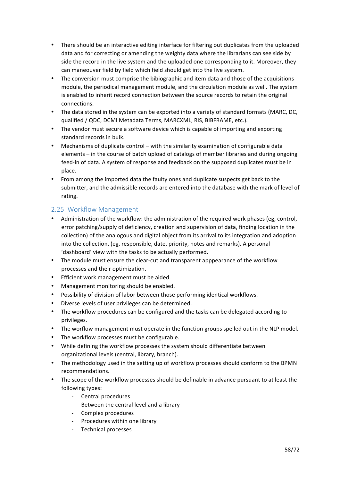- There should be an interactive editing interface for filtering out duplicates from the uploaded data and for correcting or amending the weighty data where the librarians can see side by side the record in the live system and the uploaded one corresponding to it. Moreover, they can maneouver field by field which field should get into the live system.
- The conversion must comprise the bibiographic and item data and those of the acquisitions module, the periodical management module, and the circulation module as well. The system is enabled to inherit record connection between the source records to retain the original connections.
- The data stored in the system can be exported into a variety of standard formats (MARC, DC, qualified / QDC, DCMI Metadata Terms, MARCXML, RIS, BIBFRAME, etc.).
- The vendor must secure a software device which is capable of importing and exporting standard records in bulk.
- Mechanisms of duplicate control with the similarity examination of configurable data elements – in the course of batch upload of catalogs of member libraries and during ongoing feed-in of data. A system of response and feedback on the supposed duplicates must be in place.
- From among the imported data the faulty ones and duplicate suspects get back to the submitter, and the admissible records are entered into the database with the mark of level of rating.

## 2.25 Workflow Management

- Administration of the workflow: the administration of the required work phases (eg, control, error patching/supply of deficiency, creation and supervision of data, finding location in the collection) of the analogous and digital object from its arrival to its integration and adoption into the collection, (eg, responsible, date, priority, notes and remarks). A personal 'dashboard' view with the tasks to be actually performed.
- The module must ensure the clear-cut and transparent apppearance of the workflow processes and their optimization.
- Efficient work management must be aided.
- Management monitoring should be enabled.
- Possibility of division of labor between those performing identical workflows.
- Diverse levels of user privileges can be determined.
- The workflow procedures can be configured and the tasks can be delegated according to privileges.
- The worflow management must operate in the function groups spelled out in the NLP model.
- The workflow processes must be configurable.
- While defining the workflow processes the system should differentiate between organizational levels (central, library, branch).
- The methodology used in the setting up of workflow processes should conform to the BPMN recommendations.
- The scope of the workflow processes should be definable in advance pursuant to at least the following types:
	- Central procedures
	- Between the central level and a library
	- Complex procedures
	- Procedures within one library
	- Technical processes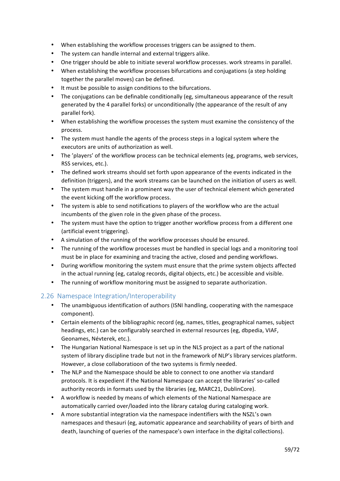- When establishing the workflow processes triggers can be assigned to them.
- The system can handle internal and external triggers alike.
- One trigger should be able to initiate several workflow processes, work streams in parallel.
- When establishing the workflow processes bifurcations and conjugations (a step holding together the parallel moves) can be defined.
- It must be possible to assign conditions to the bifurcations.
- The conjugations can be definable conditionally (eg, simultaneous appearance of the result generated by the 4 parallel forks) or unconditionally (the appearance of the result of any parallel fork).
- When establishing the workflow processes the system must examine the consistency of the process.
- The system must handle the agents of the process steps in a logical system where the executors are units of authorization as well.
- The 'players' of the workflow process can be technical elements (eg, programs, web services, RSS services, etc.).
- The defined work streams should set forth upon appearance of the events indicated in the definition (triggers), and the work streams can be launched on the initiation of users as well.
- The system must handle in a prominent way the user of technical element which generated the event kicking off the workflow process.
- The system is able to send notifications to players of the workflow who are the actual incumbents of the given role in the given phase of the process.
- The system must have the option to trigger another workflow process from a different one (artificial event triggering).
- A simulation of the running of the workflow processes should be ensured.
- The running of the workflow processes must be handled in special logs and a monitoring tool must be in place for examining and tracing the active, closed and pending workflows.
- During workflow monitoring the system must ensure that the prime system objects affected in the actual running (eg, catalog records, digital objects, etc.) be accessible and visible.
- The running of workflow monitoring must be assigned to separate authorization.

## 2.26 Namespace Integration/Interoperability

- The unambiguous identification of authors (ISNI handling, cooperating with the namespace component).
- Certain elements of the bibliographic record (eg, names, titles, geographical names, subject headings, etc.) can be configurably searched in external resources (eg, dbpedia, VIAF, Geonames, Névterek, etc.).
- The Hungarian National Namespace is set up in the NLS project as a part of the national system of library discipline trade but not in the framework of NLP's library services platform. However, a close collaboratioon of the two systems is firmly needed.
- The NLP and the Namespace should be able to connect to one another via standard protocols. It is expedient if the National Namespace can accept the libraries' so-called authority records in formats used by the libraries (eg, MARC21, DublinCore).
- A workflow is needed by means of which elements of the National Namespace are automatically carried over/loaded into the library catalog during cataloging work.
- A more substantial integration via the namespace indentifiers with the NSZL's own namespaces and thesauri (eg, automatic appearance and searchability of years of birth and death, launching of queries of the namespace's own interface in the digital collections).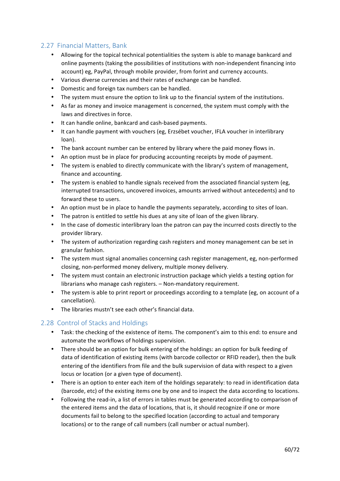## 2.27 Financial Matters, Bank

- Allowing for the topical technical potentialities the system is able to manage bankcard and online payments (taking the possibilities of institutions with non-independent financing into account) eg, PayPal, through mobile provider, from forint and currency accounts.
- Various diverse currencies and their rates of exchange can be handled.
- Domestic and foreign tax numbers can be handled.
- The system must ensure the option to link up to the financial system of the institutions.
- As far as money and invoice management is concerned, the system must comply with the laws and directives in force.
- It can handle online, bankcard and cash-based payments.
- It can handle payment with vouchers (eg, Erzsébet voucher, IFLA voucher in interlibrary loan).
- The bank account number can be entered by library where the paid money flows in.
- An option must be in place for producing accounting receipts by mode of payment.
- The system is enabled to directly communicate with the library's system of management, finance and accounting.
- The system is enabled to handle signals received from the associated financial system (eg, interrupted transactions, uncovered invoices, amounts arrived without antecedents) and to forward these to users.
- An option must be in place to handle the payments separately, according to sites of loan.
- The patron is entitled to settle his dues at any site of loan of the given library.
- In the case of domestic interlibrary loan the patron can pay the incurred costs directly to the provider library.
- The system of authorization regarding cash registers and money management can be set in granular fashion.
- The system must signal anomalies concerning cash register management, eg, non-performed closing, non-performed money delivery, multiple money delivery.
- The system must contain an electronic instruction package which yields a testing option for librarians who manage cash registers. - Non-mandatory requirement.
- The system is able to print report or proceedings according to a template (eg, on account of a cancellation).
- The libraries mustn't see each other's financial data.

## 2.28 Control of Stacks and Holdings

- Task: the checking of the existence of items. The component's aim to this end: to ensure and automate the workflows of holdings supervision.
- There should be an option for bulk entering of the holdings: an option for bulk feeding of data of identification of existing items (with barcode collector or RFID reader), then the bulk entering of the identifiers from file and the bulk supervision of data with respect to a given locus or location (or a given type of document).
- There is an option to enter each item of the holdings separately: to read in identification data (barcode, etc) of the existing items one by one and to inspect the data according to locations.
- Following the read-in, a list of errors in tables must be generated according to comparison of the entered items and the data of locations, that is, it should recognize if one or more documents fail to belong to the specified location (according to actual and temporary locations) or to the range of call numbers (call number or actual number).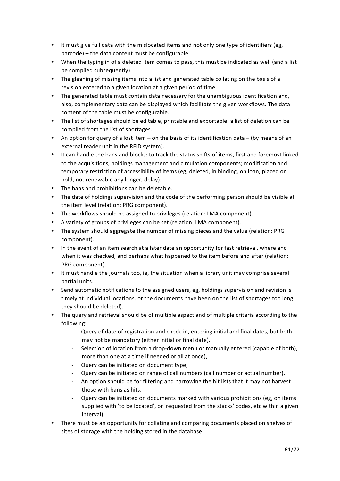- It must give full data with the mislocated items and not only one type of identifiers (eg,  $barcode)$  – the data content must be configurable.
- When the typing in of a deleted item comes to pass, this must be indicated as well (and a list be compiled subsequently).
- The gleaning of missing items into a list and generated table collating on the basis of a revision entered to a given location at a given period of time.
- The generated table must contain data necessary for the unambiguous identification and, also, complementary data can be displayed which facilitate the given workflows. The data content of the table must be configurable.
- The list of shortages should be editable, printable and exportable: a list of deletion can be compiled from the list of shortages.
- An option for query of a lost item on the basis of its identification data (by means of an external reader unit in the RFID system).
- It can handle the bans and blocks: to track the status shifts of items, first and foremost linked to the acquisitions, holdings management and circulation components; modification and temporary restriction of accessibility of items (eg, deleted, in binding, on loan, placed on hold, not renewable any longer, delay).
- The bans and prohibitions can be deletable.
- The date of holdings supervision and the code of the performing person should be visible at the item level (relation: PRG component).
- The workflows should be assigned to privileges (relation: LMA component).
- A variety of groups of privileges can be set (relation: LMA component).
- The system should aggregate the number of missing pieces and the value (relation: PRG component).
- In the event of an item search at a later date an opportunity for fast retrieval, where and when it was checked, and perhaps what happened to the item before and after (relation: PRG component).
- It must handle the journals too, ie, the situation when a library unit may comprise several partial units.
- Send automatic notifications to the assigned users, eg, holdings supervision and revision is timely at individual locations, or the documents have been on the list of shortages too long they should be deleted).
- The query and retrieval should be of multiple aspect and of multiple criteria according to the following:
	- Query of date of registration and check-in, entering initial and final dates, but both may not be mandatory (either initial or final date),
	- Selection of location from a drop-down menu or manually entered (capable of both), more than one at a time if needed or all at once),
	- Query can be initiated on document type,
	- Query can be initiated on range of call numbers (call number or actual number),
	- An option should be for filtering and narrowing the hit lists that it may not harvest those with bans as hits.
	- Query can be initiated on documents marked with various prohibitions (eg, on items supplied with 'to be located', or 'requested from the stacks' codes, etc within a given interval).
- There must be an opportunity for collating and comparing documents placed on shelves of sites of storage with the holding stored in the database.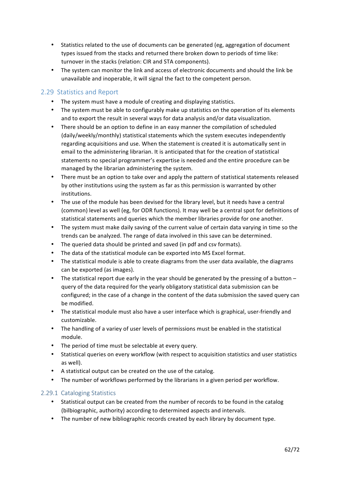- Statistics related to the use of documents can be generated (eg, aggregation of document types issued from the stacks and returned there broken down to periods of time like: turnover in the stacks (relation: CIR and STA components).
- The system can monitor the link and access of electronic documents and should the link be unavailable and inoperable, it will signal the fact to the competent person.

## 2.29 Statistics and Report

- The system must have a module of creating and displaying statistics.
- The system must be able to configurably make up statistics on the operation of its elements and to export the result in several ways for data analysis and/or data visualization.
- There should be an option to define in an easy manner the compilation of scheduled (daily/weekly/monthly) statistical statements which the system executes independently regarding acquisitions and use. When the statement is created it is automatically sent in email to the administering librarian. It is anticipated that for the creation of statistical statements no special programmer's expertise is needed and the entire procedure can be managed by the librarian administering the system.
- There must be an option to take over and apply the pattern of statistical statements released by other institutions using the system as far as this permission is warranted by other institutions.
- The use of the module has been devised for the library level, but it needs have a central (common) level as well (eg, for ODR functions). It may well be a central spot for definitions of statistical statements and queries which the member libraries provide for one another.
- The system must make daily saving of the current value of certain data varying in time so the trends can be analyzed. The range of data involved in this save can be determined.
- The queried data should be printed and saved (in pdf and csv formats).
- The data of the statistical module can be exported into MS Excel format.
- The statistical module is able to create diagrams from the user data available, the diagrams can be exported (as images).
- The statistical report due early in the year should be generated by the pressing of a button  $$ query of the data required for the yearly obligatory statistical data submission can be configured; in the case of a change in the content of the data submission the saved query can be modified.
- The statistical module must also have a user interface which is graphical, user-friendly and customizable.
- The handling of a variey of user levels of permissions must be enabled in the statistical module.
- The period of time must be selectable at every query.
- Statistical queries on every workflow (with respect to acquisition statistics and user statistics as well).
- A statistical output can be created on the use of the catalog.
- The number of workflows performed by the librarians in a given period per workflow.

## 2.29.1 Cataloging Statistics

- Statistical output can be created from the number of records to be found in the catalog (bilbiographic, authority) according to determined aspects and intervals.
- The number of new bibliographic records created by each library by document type.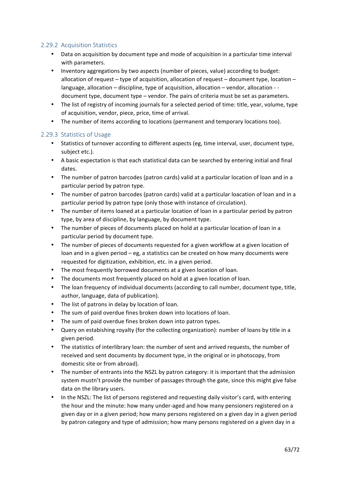### 2.29.2 Acquisition Statistics

- Data on acquisition by document type and mode of acquisition in a particular time interval with parameters.
- Inventory aggregations by two aspects (number of pieces, value) according to budget: allocation of request  $-$  type of acquisition, allocation of request  $-$  document type, location  $$ language, allocation  $-$  discipline, type of acquisition, allocation  $-$  vendor, allocation  $$ document type, document type – vendor. The pairs of criteria must be set as parameters.
- The list of registry of incoming journals for a selected period of time: title, year, volume, type of acquisition, vendor, piece, price, time of arrival.
- The number of items according to locations (permanent and temporary locations too).

## 2.29.3 Statistics of Usage

- Statistics of turnover according to different aspects (eg, time interval, user, document type, subject etc.).
- A basic expectation is that each statistical data can be searched by entering initial and final dates.
- The number of patron barcodes (patron cards) valid at a particular location of loan and in a particular period by patron type.
- The number of patron barcodes (patron cards) valid at a particular loacation of loan and in a particular period by patron type (only those with instance of circulation).
- The number of items loaned at a particular location of loan in a particular period by patron type, by area of discipline, by language, by document type.
- The number of pieces of documents placed on hold at a particular location of loan in a particular period by document type.
- The number of pieces of documents requested for a given workflow at a given location of loan and in a given period – eg, a statistics can be created on how many documents were requested for digitization, exhibition, etc. in a given period.
- The most frequently borrowed documents at a given location of loan.
- The documents most frequently placed on hold at a given location of loan.
- The loan frequency of individual documents (according to call number, document type, title, author, language, data of publication).
- The list of patrons in delay by location of loan.
- The sum of paid overdue fines broken down into locations of loan.
- The sum of paid overdue fines broken down into patron types.
- Query on estabishing royalty (for the collecting organization): number of loans by title in a given period.
- The statistics of interlibrary loan: the number of sent and arrived requests, the number of received and sent documents by document type, in the original or in photocopy, from domestic site or from abroad).
- The number of entrants into the NSZL by patron category: it is important that the admission system mustn't provide the number of passages through the gate, since this might give false data on the library users.
- In the NSZL: The list of persons registered and requesting daily visitor's card, with entering the hour and the minute: how many under-aged and how many pensioners registered on a given day or in a given period; how many persons registered on a given day in a given period by patron category and type of admission; how many persons registered on a given day in a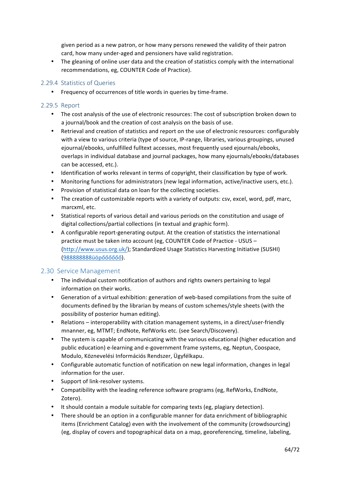given period as a new patron, or how many persons renewed the validity of their patron card, how many under-aged and pensioners have valid registration.

• The gleaning of online user data and the creation of statistics comply with the international recommendations, eg, COUNTER Code of Practice).

#### 2.29.4 Statistics of Queries

• Frequency of occurrences of title words in queries by time-frame.

#### 2.29.5 Report

- The cost analysis of the use of electronic resources: The cost of subscription broken down to a journal/book and the creation of cost analysis on the basis of use.
- Retrieval and creation of statistics and report on the use of electronic resources: configurably with a view to various criteria (type of source, IP-range, libraries, various groupings, unused ejournal/ebooks, unfulfilled fulltext accesses, most frequently used ejournals/ebooks, overlaps in individual database and journal packages, how many ejournals/ebooks/databases can be accessed, etc.).
- Identification of works relevant in terms of copyright, their classification by type of work.
- Monitoring functions for administrators (new legal information, active/inactive users, etc.).
- Provision of statistical data on loan for the collecting societies.
- The creation of customizable reports with a variety of outputs: csv, excel, word, pdf, marc, marcxml, etc.
- Statistical reports of various detail and various periods on the constitution and usage of digital collections/partial collections (in textual and graphic form).
- A configurable report-generating output. At the creation of statistics the international practice must be taken into account (eg, COUNTER Code of Practice - USUS -(http://www.usus.org.uk/); Standardized Usage Statistics Harvesting Initiative (SUSHI) (988888888üöpőőőőőő).

#### 2.30 Service Management

- The individual custom notification of authors and rights owners pertaining to legal information on their works.
- Generation of a virtual exhibition: generation of web-based compilations from the suite of documents defined by the librarian by means of custom schemes/style sheets (with the possibility of posterior human editing).
- Relations interoperability with citation management systems, in a direct/user-friendly mnanner, eg, MTMT; EndNote, RefWorks etc. (see Search/Discovery).
- The system is capable of communicating with the various educational (higher education and public education) e-learning and e-government frame systems, eg, Neptun, Coospace, Modulo, Köznevelési Információs Rendszer, Ügyfélkapu.
- Configurable automatic function of notification on new legal information, changes in legal information for the user.
- Support of link-resolver systems.
- Compatibility with the leading reference software programs (eg, RefWorks, EndNote, Zotero).
- It should contain a module suitable for comparing texts (eg, plagiary detection).
- There should be an option in a configurable manner for data enrichment of bibliographic items (Enrichment Catalog) even with the involvement of the community (crowdsourcing) (eg, display of covers and topographical data on a map, georeferencing, timeline, labeling,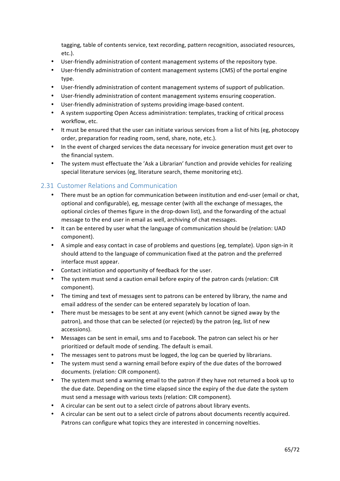tagging, table of contents service, text recording, pattern recognition, associated resources, etc.).

- User-friendly administration of content management systems of the repository type.
- User-friendly administration of content management systems (CMS) of the portal engine type.
- User-friendly administration of content management systems of support of publication.
- User-friendly administration of content management systems ensuring cooperation.
- User-friendly administration of systems providing image-based content.
- A system supporting Open Access administration: templates, tracking of critical process workflow, etc.
- It must be ensured that the user can initiate various services from a list of hits (eg, photocopy order, preparation for reading room, send, share, note, etc.).
- In the event of charged services the data necessary for invoice generation must get over to the financial system.
- The system must effectuate the 'Ask a Librarian' function and provide vehicles for realizing special literature services (eg, literature search, theme monitoring etc).

## 2.31 Customer Relations and Communication

- There must be an option for communication between institution and end-user (email or chat, optional and configurable), eg, message center (with all the exchange of messages, the optional circles of themes figure in the drop-down list), and the forwarding of the actual message to the end user in email as well, archiving of chat messages.
- It can be entered by user what the language of communication should be (relation: UAD component).
- A simple and easy contact in case of problems and questions (eg, template). Upon sign-in it should attend to the language of communication fixed at the patron and the preferred interface must appear.
- Contact initiation and opportunity of feedback for the user.
- The system must send a caution email before expiry of the patron cards (relation: CIR component).
- The timing and text of messages sent to patrons can be entered by library, the name and email address of the sender can be entered separately by location of loan.
- There must be messages to be sent at any event (which cannot be signed away by the patron), and those that can be selected (or rejected) by the patron (eg, list of new accessions).
- Messages can be sent in email, sms and to Facebook. The patron can select his or her prioritized or default mode of sending. The default is email.
- The messages sent to patrons must be logged, the log can be queried by librarians.
- The system must send a warning email before expiry of the due dates of the borrowed documents. (relation: CIR component).
- The system must send a warning email to the patron if they have not returned a book up to the due date. Depending on the time elapsed since the expiry of the due date the system must send a message with various texts (relation: CIR component).
- A circular can be sent out to a select circle of patrons about library events.
- A circular can be sent out to a select circle of patrons about documents recently acquired. Patrons can configure what topics they are interested in concerning novelties.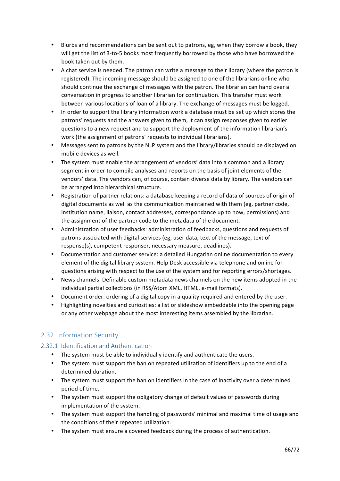- Blurbs and recommendations can be sent out to patrons, eg, when they borrow a book, they will get the list of 3-to-5 books most frequently borrowed by those who have borrowed the book taken out by them.
- A chat service is needed. The patron can write a message to their library (where the patron is registered). The incoming message should be assigned to one of the librarians online who should continue the exchange of messages with the patron. The librarian can hand over a conversation in progress to another librarian for continuation. This transfer must work between various locations of loan of a library. The exchange of messages must be logged.
- In order to support the library information work a database must be set up which stores the patrons' requests and the answers given to them, it can assign responses given to earlier questions to a new request and to support the deployment of the information librarian's work (the assignment of patrons' requests to individual librarians).
- Messages sent to patrons by the NLP system and the library/libraries should be displayed on mobile devices as well.
- The system must enable the arrangement of vendors' data into a common and a library segment in order to compile analyses and reports on the basis of joint elements of the vendors' data. The vendors can, of course, contain diverse data by library. The vendors can be arranged into hierarchical structure.
- Registration of partner relations: a database keeping a record of data of sources of origin of digital documents as well as the communication maintained with them (eg. partner code, institution name, liaison, contact addresses, correspondance up to now, permissions) and the assignment of the partner code to the metadata of the document.
- Administration of user feedbacks: administration of feedbacks, questions and requests of patrons associated with digital services (eg, user data, text of the message, text of response(s), competent responser, necessary measure, deadlines).
- Documentation and customer service: a detailed Hungarian online documentation to every element of the digital library system. Help Desk accessible via telephone and online for questions arising with respect to the use of the system and for reporting errors/shortages.
- News channels: Definable custom metadata news channels on the new items adopted in the individual partial collections (in RSS/Atom XML, HTML, e-mail formats).
- Document order: ordering of a digital copy in a quality required and entered by the user.
- Highlighting novelties and curiosities: a list or slideshow embeddable into the opening page or any other webpage about the most interesting items assembled by the librarian.

## 2.32 Information Security

## 2.32.1 Identification and Authentication

- The system must be able to individually identify and authenticate the users.
- The system must support the ban on repeated utilization of identifiers up to the end of a determined duration.
- The system must support the ban on identifiers in the case of inactivity over a determined period of time.
- The system must support the obligatory change of default values of passwords during implementation of the system.
- The system must support the handling of passwords' minimal and maximal time of usage and the conditions of their repeated utilization.
- The system must ensure a covered feedback during the process of authentication.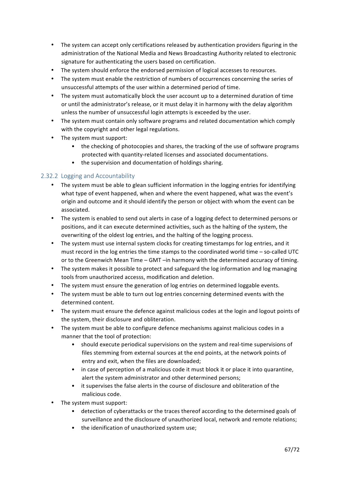- The system can accept only certifications released by authentication providers figuring in the administration of the National Media and News Broadcasting Authority related to electronic signature for authenticating the users based on certification.
- The system should enforce the endorsed permission of logical accesses to resources.
- The system must enable the restriction of numbers of occurrences concerning the series of unsuccessful attempts of the user within a determined period of time.
- The system must automatically block the user account up to a determined duration of time or until the administrator's release, or it must delay it in harmony with the delay algorithm unless the number of unsuccessful login attempts is exceeded by the user.
- The system must contain only software programs and related documentation which comply with the copyright and other legal regulations.
- The system must support:
	- the checking of photocopies and shares, the tracking of the use of software programs protected with quantity-related licenses and associated documentations.
	- the supervision and documentation of holdings sharing.

## 2.32.2 Logging and Accountability

- The system must be able to glean sufficient information in the logging entries for identifying what type of event happened, when and where the event happened, what was the event's origin and outcome and it should identify the person or object with whom the event can be associated.
- The system is enabled to send out alerts in case of a logging defect to determined persons or positions, and it can execute determined activities, such as the halting of the system, the overwriting of the oldest log entries, and the halting of the logging process.
- The system must use internal system clocks for creating timestamps for log entries, and it must record in the log entries the time stamps to the coordinated world time  $-$  so-called UTC or to the Greenwich Mean Time – GMT –in harmony with the determined accuracy of timing.
- The system makes it possible to protect and safeguard the log information and log managing tools from unauthorized accesss, modification and deletion.
- The system must ensure the generation of log entries on determined loggable events.
- The system must be able to turn out log entries concerning determined events with the determined content.
- The system must ensure the defence against malicious codes at the login and logout points of the system, their disclosure and obliteration.
- The system must be able to configure defence mechanisms against malicious codes in a manner that the tool of protection:
	- should execute periodical supervisions on the system and real-time supervisions of files stemming from external sources at the end points, at the network points of entry and exit, when the files are downloaded;
	- in case of perception of a malicious code it must block it or place it into quarantine, alert the system administrator and other determined persons;
	- it supervises the false alerts in the course of disclosure and obliteration of the malicious code.
- The system must support:
	- detection of cyberattacks or the traces thereof according to the determined goals of surveillance and the disclosure of unauthorized local, network and remote relations;
	- $\bullet$  the idenification of unauthorized system use;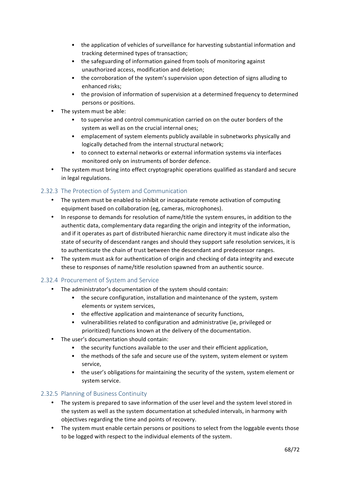- the application of vehicles of surveillance for harvesting substantial information and tracking determined types of transaction;
- the safeguarding of information gained from tools of monitoring against unauthorized access, modification and deletion;
- the corroboration of the system's supervision upon detection of signs alluding to enhanced risks:
- the provision of information of supervision at a determined frequency to determined persons or positions.
- The system must be able:
	- to supervise and control communication carried on on the outer borders of the system as well as on the crucial internal ones;
	- emplacement of system elements publicly available in subnetworks physically and logically detached from the internal structural network;
	- to connect to external networks or external information systems via interfaces monitored only on instruments of border defence.
- The system must bring into effect cryptographic operations qualified as standard and secure in legal regulations.

## 2.32.3 The Protection of System and Communication

- The system must be enabled to inhibit or incapacitate remote activation of computing equipment based on collaboration (eg, cameras, microphones).
- In response to demands for resolution of name/title the system ensures, in addition to the authentic data, complementary data regarding the origin and integrity of the information, and if it operates as part of distributed hierarchic name directory it must indicate also the state of security of descendant ranges and should they support safe resolution services, it is to authenticate the chain of trust between the descendant and predecessor ranges.
- The system must ask for authentication of origin and checking of data integrity and execute these to responses of name/title resolution spawned from an authentic source.

## 2.32.4 Procurement of System and Service

- The administrator's documentation of the system should contain:
	- the secure configuration, installation and maintenance of the system, system elements or system services,
	- the effective application and maintenance of security functions,
	- vulnerabilities related to configuration and administrative (ie, privileged or prioritized) functions known at the delivery of the documentation.
- The user's documentation should contain:
	- the security functions available to the user and their efficient application,
	- the methods of the safe and secure use of the system, system element or system service,
	- the user's obligations for maintaining the security of the system, system element or system service.

## 2.32.5 Planning of Business Continuity

- The system is prepared to save information of the user level and the system level stored in the system as well as the system documentation at scheduled intervals, in harmony with objectives regarding the time and points of recovery.
- The system must enable certain persons or positions to select from the loggable events those to be logged with respect to the individual elements of the system.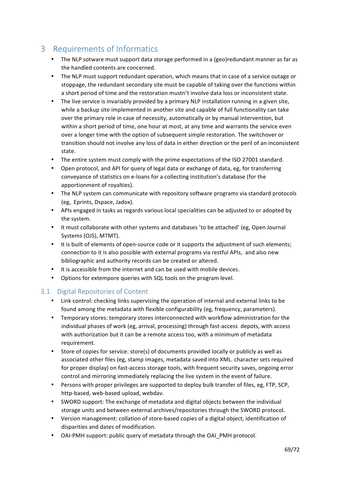# 3 Requirements of Informatics

- The NLP sotware must support data storage performed in a (geo)redundant manner as far as the handled contents are concerned.
- The NLP must support redundant operation, which means that in case of a service outage or stoppage, the redundant secondary site must be capable of taking over the functions within a short period of time and the restoration mustn't involve data loss or inconsistent state.
- The live service is invariably provided by a primary NLP installation running in a given site, while a backup site implemented in another site and capable of full functionality can take over the primary role in case of necessity, automatically or by manual intervention, but within a short period of time, one hour at most, at any time and warrants the service even over a longer time with the option of subsequent simple restoration. The switchover or transition should not involve any loss of data in either direction or the peril of an inconsistent state.
- The entire system must comply with the prime expectations of the ISO 27001 standard.
- Open protocol, and API for query of legal data or exchange of data, eg, for transferring conveyance of statistics on e-loans for a collecting institution's database (for the apportionment of royalties).
- The NLP system can communicate with repository software programs via standard protocols (eg, Eprints, Dspace, Jadox).
- APIs engaged in tasks as regards various local specialities can be adjusted to or adopted by the system.
- It must collaborate with other systems and databases 'to be attached' (eg, Open Journal Systems (OJS), MTMT).
- It is built of elements of open-source code or it supports the adjustment of such elements; connection to it is also possible with external programs via restful APIs, and also new bibliographic and authority records can be created or altered.
- It is accessible from the internet and can be used with mobile devices.
- Options for extempore queries with SQL tools on the program level.

## 3.1 Digital Repositories of Content

- Link control: checking links supervising the operation of internal and external links to be found among the metadata with flexible configurability (eg, frequency, parameters).
- Temporary stores: temporary stores interconnected with workflow administration for the individual phases of work (eg, arrival, processing) through fast-access depots, with access with authorization but it can be a remote access too, with a minimum of metadata requirement.
- Store of copies for service: store(s) of documents provided locally or publicly as well as associated other files (eg, stamp images, metadata saved into XML. character sets required for proper display) on fast-access storage tools, with frequent security saves, ongoing error control and mirroring immediately replacing the live system in the event of failure.
- Persons with proper privileges are supported to deploy bulk transfer of files, eg, FTP, SCP, http-based, web-based upload, webdav.
- SWORD support: The exchange of metadata and digital objects between the individual storage units and between external archives/repositories through the SWORD protocol.
- Version management: collation of store-based copies of a digital object, identification of disparities and dates of modification.
- OAI-PMH support: public query of metadata through the OAI\_PMH protocol.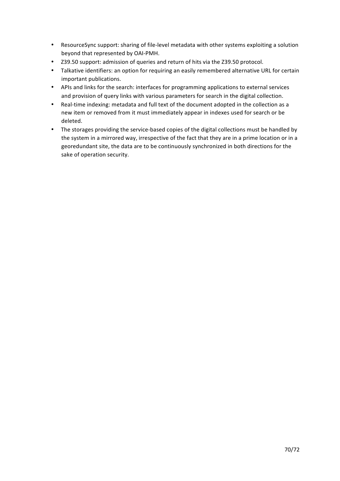- ResourceSync support: sharing of file-level metadata with other systems exploiting a solution beyond that represented by OAI-PMH.
- Z39.50 support: admission of queries and return of hits via the Z39.50 protocol.
- Talkative identifiers: an option for requiring an easily remembered alternative URL for certain important publications.
- APIs and links for the search: interfaces for programming applications to external services and provision of query links with various parameters for search in the digital collection.
- Real-time indexing: metadata and full text of the document adopted in the collection as a new item or removed from it must immediately appear in indexes used for search or be deleted.
- The storages providing the service-based copies of the digital collections must be handled by the system in a mirrored way, irrespective of the fact that they are in a prime location or in a georedundant site, the data are to be continuously synchronized in both directions for the sake of operation security.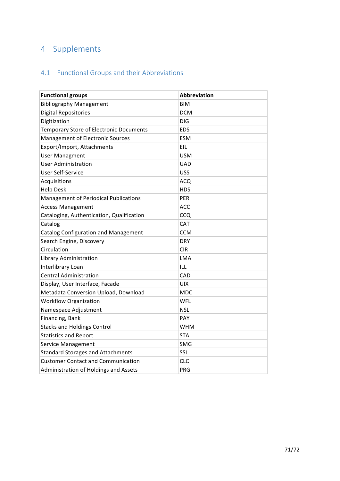# 4 Supplements

## 4.1 Functional Groups and their Abbreviations

| <b>Functional groups</b>                    | <b>Abbreviation</b> |
|---------------------------------------------|---------------------|
| <b>Bibliography Management</b>              | <b>BIM</b>          |
| <b>Digital Repositories</b>                 | <b>DCM</b>          |
| Digitization                                | <b>DIG</b>          |
| Temporary Store of Electronic Documents     | <b>EDS</b>          |
| Management of Electronic Sources            | <b>ESM</b>          |
| Export/Import, Attachments                  | EIL                 |
| <b>User Managment</b>                       | <b>USM</b>          |
| <b>User Administration</b>                  | <b>UAD</b>          |
| <b>User Self-Service</b>                    | <b>USS</b>          |
| Acquisitions                                | <b>ACQ</b>          |
| <b>Help Desk</b>                            | <b>HDS</b>          |
| Management of Periodical Publications       | <b>PER</b>          |
| <b>Access Management</b>                    | <b>ACC</b>          |
| Cataloging, Authentication, Qualification   | <b>CCQ</b>          |
| Catalog                                     | CAT                 |
| <b>Catalog Configuration and Management</b> | <b>CCM</b>          |
| Search Engine, Discovery                    | <b>DRY</b>          |
| Circulation                                 | <b>CIR</b>          |
| Library Administration                      | <b>LMA</b>          |
| Interlibrary Loan                           | ILL                 |
| <b>Central Administration</b>               | CAD                 |
| Display, User Interface, Facade             | <b>UIX</b>          |
| Metadata Conversion Upload, Download        | <b>MDC</b>          |
| <b>Workflow Organization</b>                | WFL                 |
| Namespace Adjustment                        | <b>NSL</b>          |
| Financing, Bank                             | PAY                 |
| <b>Stacks and Holdings Control</b>          | <b>WHM</b>          |
| <b>Statistics and Report</b>                | <b>STA</b>          |
| Service Management                          | <b>SMG</b>          |
| <b>Standard Storages and Attachments</b>    | SSI                 |
| <b>Customer Contact and Communication</b>   | <b>CLC</b>          |
| Administration of Holdings and Assets       | PRG                 |